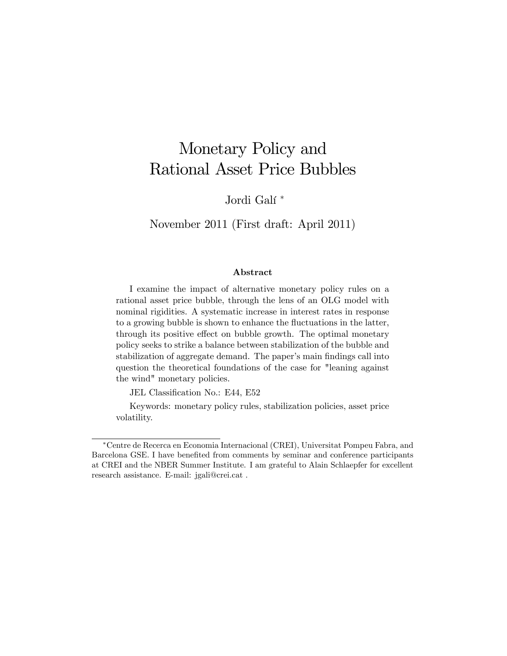## Monetary Policy and Rational Asset Price Bubbles

Jordi Galí<sup>\*</sup>

November 2011 (First draft: April 2011)

#### Abstract

I examine the impact of alternative monetary policy rules on a rational asset price bubble, through the lens of an OLG model with nominal rigidities. A systematic increase in interest rates in response to a growing bubble is shown to enhance the fluctuations in the latter, through its positive effect on bubble growth. The optimal monetary policy seeks to strike a balance between stabilization of the bubble and stabilization of aggregate demand. The paper's main findings call into question the theoretical foundations of the case for "leaning against the wind" monetary policies.

JEL Classification No.: E44, E52

Keywords: monetary policy rules, stabilization policies, asset price volatility.

Centre de Recerca en Economia Internacional (CREI), Universitat Pompeu Fabra, and Barcelona GSE. I have benefited from comments by seminar and conference participants at CREI and the NBER Summer Institute. I am grateful to Alain Schlaepfer for excellent research assistance. E-mail: jgali@crei.cat .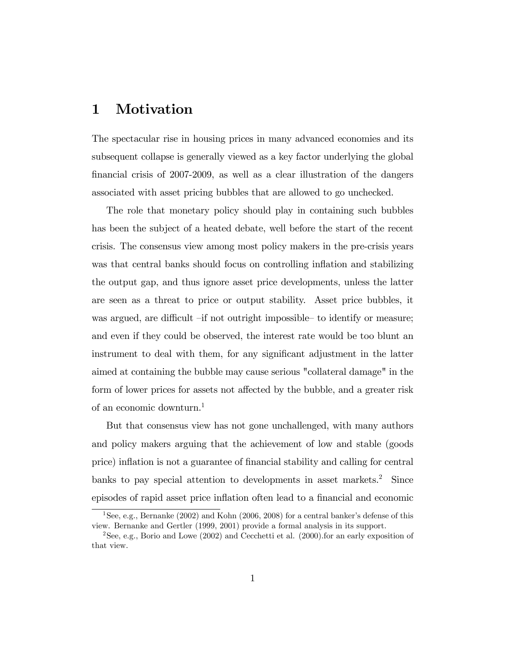## 1 Motivation

The spectacular rise in housing prices in many advanced economies and its subsequent collapse is generally viewed as a key factor underlying the global financial crisis of  $2007-2009$ , as well as a clear illustration of the dangers associated with asset pricing bubbles that are allowed to go unchecked.

The role that monetary policy should play in containing such bubbles has been the subject of a heated debate, well before the start of the recent crisis. The consensus view among most policy makers in the pre-crisis years was that central banks should focus on controlling inflation and stabilizing the output gap, and thus ignore asset price developments, unless the latter are seen as a threat to price or output stability. Asset price bubbles, it was argued, are difficult  $\overline{-}$  if not outright impossible to identify or measure; and even if they could be observed, the interest rate would be too blunt an instrument to deal with them, for any significant adjustment in the latter aimed at containing the bubble may cause serious "collateral damage" in the form of lower prices for assets not affected by the bubble, and a greater risk of an economic downturn.<sup>1</sup>

But that consensus view has not gone unchallenged, with many authors and policy makers arguing that the achievement of low and stable (goods price) inflation is not a guarantee of financial stability and calling for central banks to pay special attention to developments in asset markets.<sup>2</sup> Since episodes of rapid asset price inflation often lead to a financial and economic

<sup>&</sup>lt;sup>1</sup>See, e.g., Bernanke (2002) and Kohn (2006, 2008) for a central banker's defense of this view. Bernanke and Gertler (1999, 2001) provide a formal analysis in its support.

<sup>2</sup>See, e.g., Borio and Lowe (2002) and Cecchetti et al. (2000).for an early exposition of that view.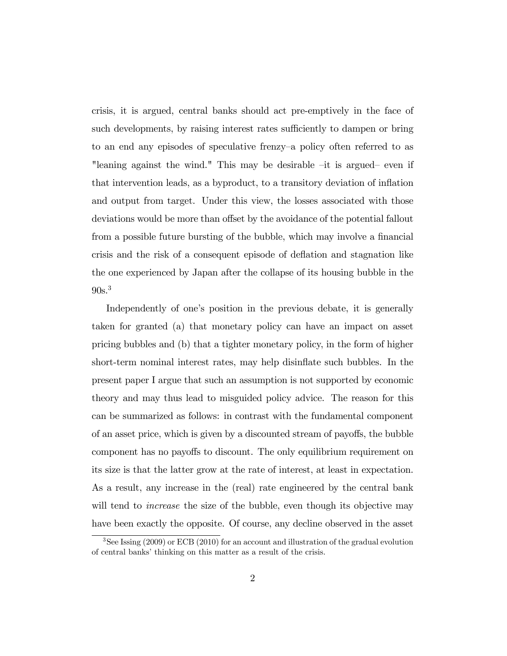crisis, it is argued, central banks should act pre-emptively in the face of such developments, by raising interest rates sufficiently to dampen or bring to an end any episodes of speculative frenzy-a policy often referred to as "leaning against the wind." This may be desirable  $-it$  is argued even if that intervention leads, as a byproduct, to a transitory deviation of ináation and output from target. Under this view, the losses associated with those deviations would be more than offset by the avoidance of the potential fallout from a possible future bursting of the bubble, which may involve a financial crisis and the risk of a consequent episode of deáation and stagnation like the one experienced by Japan after the collapse of its housing bubble in the  $90s.<sup>3</sup>$ 

Independently of one's position in the previous debate, it is generally taken for granted (a) that monetary policy can have an impact on asset pricing bubbles and (b) that a tighter monetary policy, in the form of higher short-term nominal interest rates, may help disinflate such bubbles. In the present paper I argue that such an assumption is not supported by economic theory and may thus lead to misguided policy advice. The reason for this can be summarized as follows: in contrast with the fundamental component of an asset price, which is given by a discounted stream of payoffs, the bubble component has no payoffs to discount. The only equilibrium requirement on its size is that the latter grow at the rate of interest, at least in expectation. As a result, any increase in the (real) rate engineered by the central bank will tend to *increase* the size of the bubble, even though its objective may have been exactly the opposite. Of course, any decline observed in the asset

 $3$ See Issing (2009) or ECB (2010) for an account and illustration of the gradual evolution of central banks' thinking on this matter as a result of the crisis.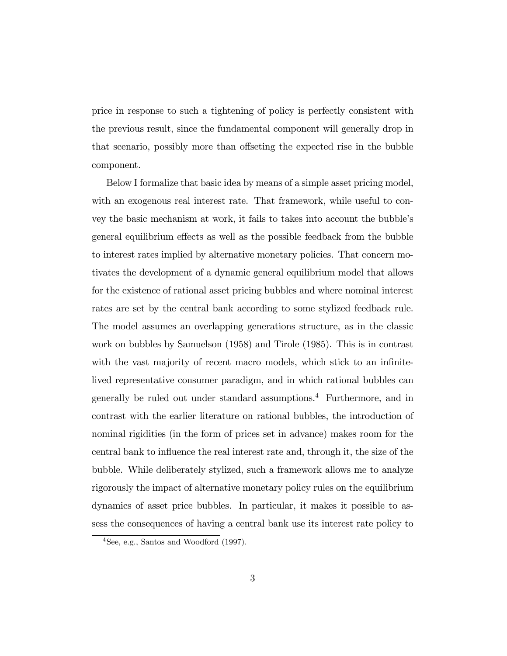price in response to such a tightening of policy is perfectly consistent with the previous result, since the fundamental component will generally drop in that scenario, possibly more than offseting the expected rise in the bubble component.

Below I formalize that basic idea by means of a simple asset pricing model, with an exogenous real interest rate. That framework, while useful to convey the basic mechanism at work, it fails to takes into account the bubble's general equilibrium effects as well as the possible feedback from the bubble to interest rates implied by alternative monetary policies. That concern motivates the development of a dynamic general equilibrium model that allows for the existence of rational asset pricing bubbles and where nominal interest rates are set by the central bank according to some stylized feedback rule. The model assumes an overlapping generations structure, as in the classic work on bubbles by Samuelson (1958) and Tirole (1985). This is in contrast with the vast majority of recent macro models, which stick to an infinitelived representative consumer paradigm, and in which rational bubbles can generally be ruled out under standard assumptions.<sup>4</sup> Furthermore, and in contrast with the earlier literature on rational bubbles, the introduction of nominal rigidities (in the form of prices set in advance) makes room for the central bank to influence the real interest rate and, through it, the size of the bubble. While deliberately stylized, such a framework allows me to analyze rigorously the impact of alternative monetary policy rules on the equilibrium dynamics of asset price bubbles. In particular, it makes it possible to assess the consequences of having a central bank use its interest rate policy to

 $4$ See, e.g., Santos and Woodford (1997).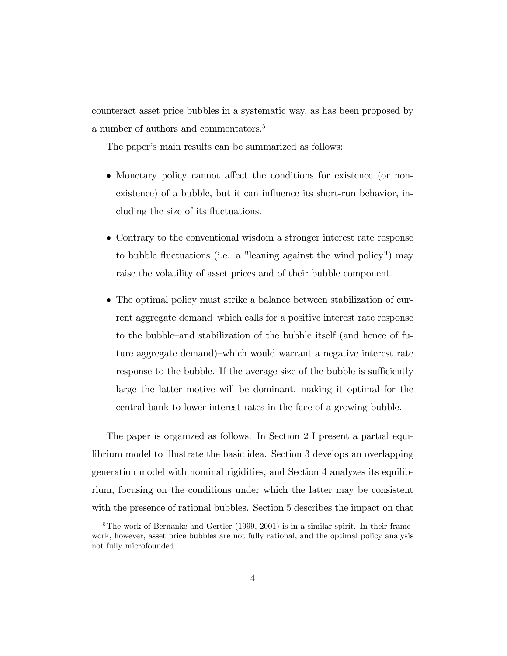counteract asset price bubbles in a systematic way, as has been proposed by a number of authors and commentators.<sup>5</sup>

The paper's main results can be summarized as follows:

- Monetary policy cannot affect the conditions for existence (or nonexistence) of a bubble, but it can influence its short-run behavior, including the size of its fluctuations.
- Contrary to the conventional wisdom a stronger interest rate response to bubble fluctuations (i.e. a "leaning against the wind policy") may raise the volatility of asset prices and of their bubble component.
- The optimal policy must strike a balance between stabilization of current aggregate demand–which calls for a positive interest rate response to the bubble–and stabilization of the bubble itself (and hence of future aggregate demand)—which would warrant a negative interest rate response to the bubble. If the average size of the bubble is sufficiently large the latter motive will be dominant, making it optimal for the central bank to lower interest rates in the face of a growing bubble.

The paper is organized as follows. In Section 2 I present a partial equilibrium model to illustrate the basic idea. Section 3 develops an overlapping generation model with nominal rigidities, and Section 4 analyzes its equilibrium, focusing on the conditions under which the latter may be consistent with the presence of rational bubbles. Section 5 describes the impact on that

 $5$ The work of Bernanke and Gertler (1999, 2001) is in a similar spirit. In their framework, however, asset price bubbles are not fully rational, and the optimal policy analysis not fully microfounded.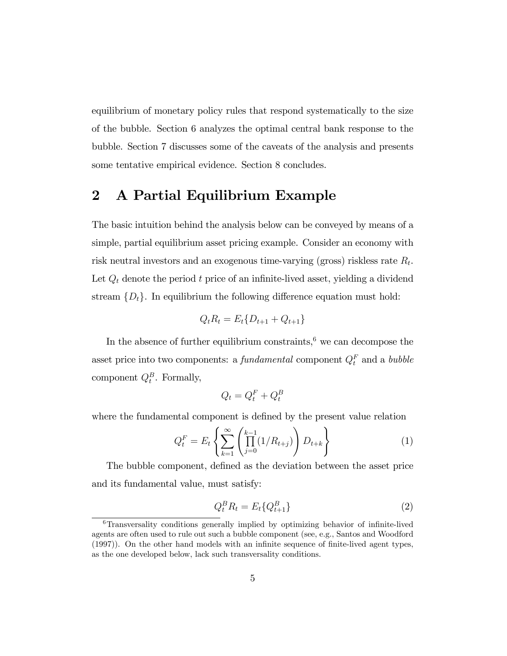equilibrium of monetary policy rules that respond systematically to the size of the bubble. Section 6 analyzes the optimal central bank response to the bubble. Section 7 discusses some of the caveats of the analysis and presents some tentative empirical evidence. Section 8 concludes.

## 2 A Partial Equilibrium Example

The basic intuition behind the analysis below can be conveyed by means of a simple, partial equilibrium asset pricing example. Consider an economy with risk neutral investors and an exogenous time-varying (gross) riskless rate  $R_t$ . Let  $Q_t$  denote the period  $t$  price of an infinite-lived asset, yielding a dividend stream  $\{D_t\}$ . In equilibrium the following difference equation must hold:

$$
Q_t R_t = E_t \{D_{t+1} + Q_{t+1}\}
$$

In the absence of further equilibrium constraints,<sup> $6$ </sup> we can decompose the asset price into two components: a *fundamental* component  $Q_t^F$  and a *bubble* component  $Q_t^B$ . Formally,

$$
Q_t = Q_t^F + Q_t^B
$$

where the fundamental component is defined by the present value relation

$$
Q_t^F = E_t \left\{ \sum_{k=1}^{\infty} \left( \prod_{j=0}^{k-1} (1/R_{t+j}) \right) D_{t+k} \right\}
$$
 (1)

The bubble component, defined as the deviation between the asset price and its fundamental value, must satisfy:

$$
Q_t^B R_t = E_t \{ Q_{t+1}^B \} \tag{2}
$$

 $6$ Transversality conditions generally implied by optimizing behavior of infinite-lived agents are often used to rule out such a bubble component (see, e.g., Santos and Woodford  $(1997)$ ). On the other hand models with an infinite sequence of finite-lived agent types, as the one developed below, lack such transversality conditions.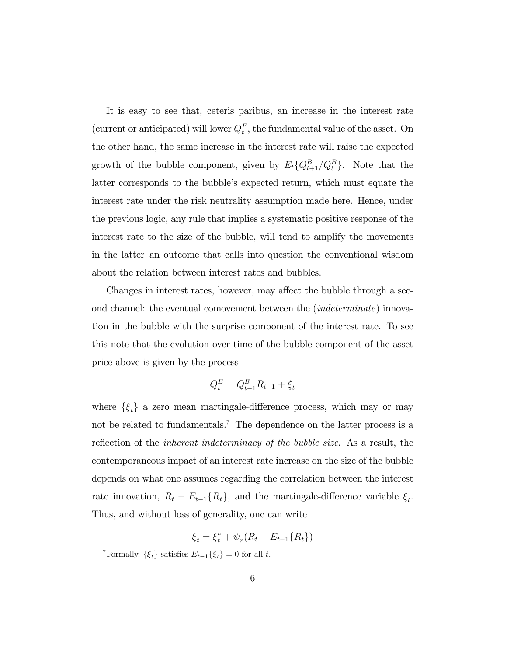It is easy to see that, ceteris paribus, an increase in the interest rate (current or anticipated) will lower  $Q_t^F$ , the fundamental value of the asset. On the other hand, the same increase in the interest rate will raise the expected growth of the bubble component, given by  $E_t\{Q_{t+1}^B/Q_t^B\}$ . Note that the latter corresponds to the bubble's expected return, which must equate the interest rate under the risk neutrality assumption made here. Hence, under the previous logic, any rule that implies a systematic positive response of the interest rate to the size of the bubble, will tend to amplify the movements in the latter–an outcome that calls into question the conventional wisdom about the relation between interest rates and bubbles.

Changes in interest rates, however, may affect the bubble through a second channel: the eventual comovement between the (indeterminate) innovation in the bubble with the surprise component of the interest rate. To see this note that the evolution over time of the bubble component of the asset price above is given by the process

$$
Q_t^B = Q_{t-1}^B R_{t-1} + \xi_t
$$

where  $\{\xi_t\}$  a zero mean martingale-difference process, which may or may not be related to fundamentals.<sup>7</sup> The dependence on the latter process is a reflection of the *inherent indeterminacy of the bubble size*. As a result, the contemporaneous impact of an interest rate increase on the size of the bubble depends on what one assumes regarding the correlation between the interest rate innovation,  $R_t - E_{t-1}\{R_t\}$ , and the martingale-difference variable  $\xi_t$ . Thus, and without loss of generality, one can write

$$
\xi_t = \xi_t^* + \psi_r (R_t - E_{t-1} \{ R_t \})
$$

<sup>7</sup>Formally,  $\{\xi_t\}$  satisfies  $E_{t-1}\{\xi_t\} = 0$  for all t.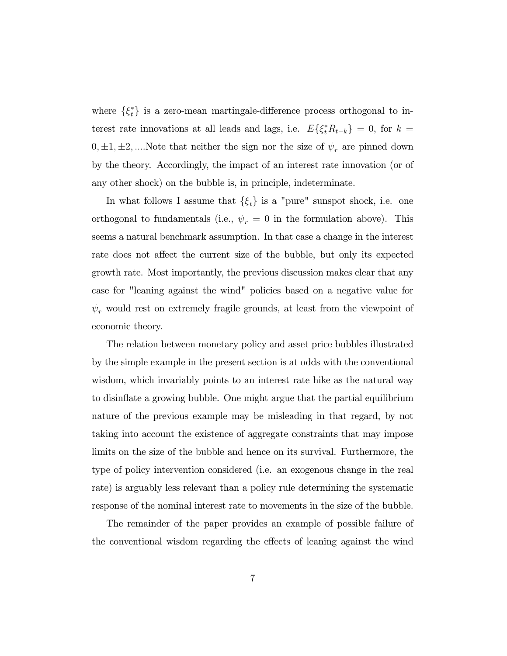where  $\{\xi_t^*\}$  is a zero-mean martingale-difference process orthogonal to interest rate innovations at all leads and lags, i.e.  $E\{\xi_t^* R_{t-k}\} = 0$ , for  $k =$  $0, \pm 1, \pm 2, \dots$  Note that neither the sign nor the size of  $\psi_r$  are pinned down by the theory. Accordingly, the impact of an interest rate innovation (or of any other shock) on the bubble is, in principle, indeterminate.

In what follows I assume that  $\{\xi_t\}$  is a "pure" sunspot shock, i.e. one orthogonal to fundamentals (i.e.,  $\psi_r = 0$  in the formulation above). This seems a natural benchmark assumption. In that case a change in the interest rate does not affect the current size of the bubble, but only its expected growth rate. Most importantly, the previous discussion makes clear that any case for "leaning against the wind" policies based on a negative value for  $\psi_r$  would rest on extremely fragile grounds, at least from the viewpoint of economic theory.

The relation between monetary policy and asset price bubbles illustrated by the simple example in the present section is at odds with the conventional wisdom, which invariably points to an interest rate hike as the natural way to disináate a growing bubble. One might argue that the partial equilibrium nature of the previous example may be misleading in that regard, by not taking into account the existence of aggregate constraints that may impose limits on the size of the bubble and hence on its survival. Furthermore, the type of policy intervention considered (i.e. an exogenous change in the real rate) is arguably less relevant than a policy rule determining the systematic response of the nominal interest rate to movements in the size of the bubble.

The remainder of the paper provides an example of possible failure of the conventional wisdom regarding the effects of leaning against the wind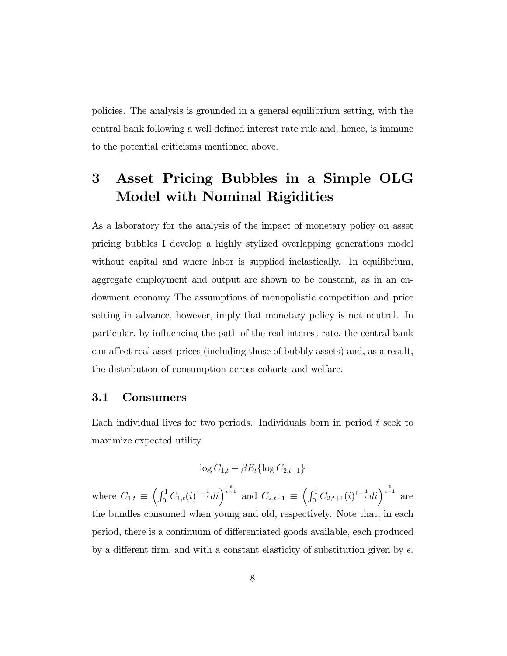policies. The analysis is grounded in a general equilibrium setting, with the central bank following a well defined interest rate rule and, hence, is immune to the potential criticisms mentioned above.

## 3 Asset Pricing Bubbles in a Simple OLG Model with Nominal Rigidities

As a laboratory for the analysis of the impact of monetary policy on asset pricing bubbles I develop a highly stylized overlapping generations model without capital and where labor is supplied inelastically. In equilibrium, aggregate employment and output are shown to be constant, as in an endowment economy The assumptions of monopolistic competition and price setting in advance, however, imply that monetary policy is not neutral. In particular, by influencing the path of the real interest rate, the central bank can affect real asset prices (including those of bubbly assets) and, as a result, the distribution of consumption across cohorts and welfare.

### 3.1 Consumers

Each individual lives for two periods. Individuals born in period  $t$  seek to maximize expected utility

$$
\log C_{1,t} + \beta E_t \{\log C_{2,t+1}\}\
$$

where  $C_{1,t} \equiv \left( \int_0^1 C_{1,t}(i)^{1-\frac{1}{\epsilon}} di \right)^{\frac{\epsilon}{\epsilon-1}}$  and  $C_{2,t+1} \equiv \left( \int_0^1 C_{2,t+1}(i)^{1-\frac{1}{\epsilon}} di \right)^{\frac{\epsilon}{\epsilon-1}}$  are the bundles consumed when young and old, respectively. Note that, in each period, there is a continuum of differentiated goods available, each produced by a different firm, and with a constant elasticity of substitution given by  $\epsilon$ .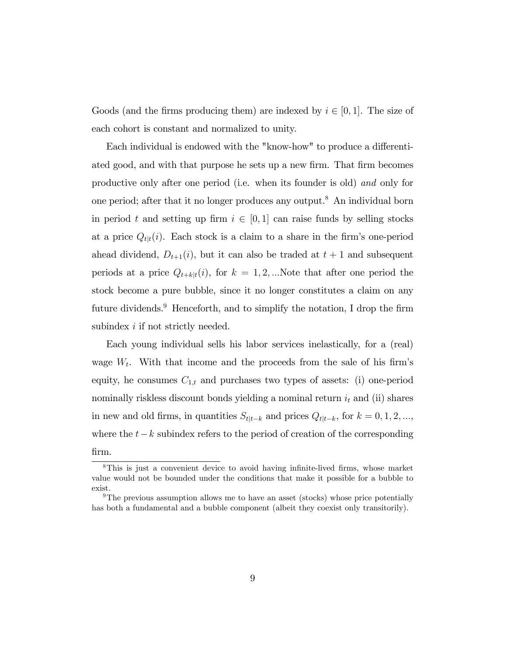Goods (and the firms producing them) are indexed by  $i \in [0, 1]$ . The size of each cohort is constant and normalized to unity.

Each individual is endowed with the "know-how" to produce a differentiated good, and with that purpose he sets up a new firm. That firm becomes productive only after one period (i.e. when its founder is old) and only for one period; after that it no longer produces any output.<sup>8</sup> An individual born in period t and setting up firm  $i \in [0, 1]$  can raise funds by selling stocks at a price  $Q_{t|t}(i)$ . Each stock is a claim to a share in the firm's one-period ahead dividend,  $D_{t+1}(i)$ , but it can also be traded at  $t+1$  and subsequent periods at a price  $Q_{t+k|t}(i)$ , for  $k = 1, 2, ...$ Note that after one period the stock become a pure bubble, since it no longer constitutes a claim on any future dividends.<sup>9</sup> Henceforth, and to simplify the notation, I drop the firm subindex *i* if not strictly needed.

Each young individual sells his labor services inelastically, for a (real) wage  $W_t$ . With that income and the proceeds from the sale of his firm's equity, he consumes  $C_{1,t}$  and purchases two types of assets: (i) one-period nominally riskless discount bonds yielding a nominal return  $i_t$  and (ii) shares in new and old firms, in quantities  $S_{t|t-k}$  and prices  $Q_{t|t-k}$ , for  $k = 0, 1, 2, ...,$ where the  $t-k$  subindex refers to the period of creation of the corresponding Örm.

 $8$ This is just a convenient device to avoid having infinite-lived firms, whose market value would not be bounded under the conditions that make it possible for a bubble to exist.

 $9$ The previous assumption allows me to have an asset (stocks) whose price potentially has both a fundamental and a bubble component (albeit they coexist only transitorily).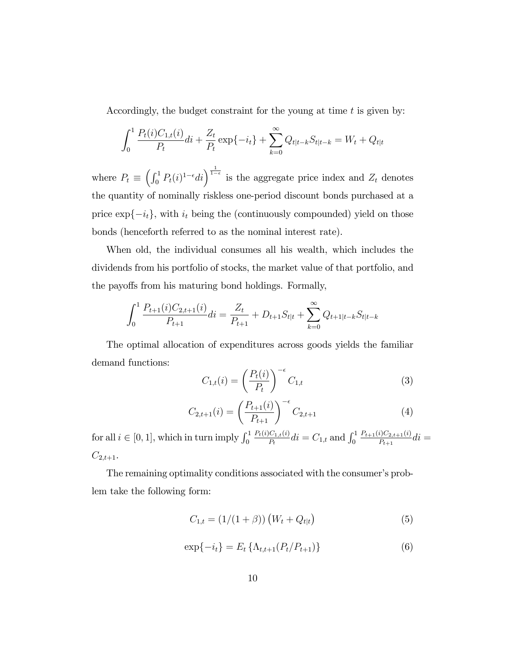Accordingly, the budget constraint for the young at time  $t$  is given by:

$$
\int_0^1 \frac{P_t(i)C_{1,t}(i)}{P_t}di + \frac{Z_t}{P_t} \exp\{-i_t\} + \sum_{k=0}^\infty Q_{t|t-k}S_{t|t-k} = W_t + Q_{t|t}
$$

where  $P_t \equiv \left(\int_0^1 P_t(i)^{1-\epsilon} di\right)^{\frac{1}{1-\epsilon}}$  is the aggregate price index and  $Z_t$  denotes the quantity of nominally riskless one-period discount bonds purchased at a price  $\exp\{-i_t\}$ , with  $i_t$  being the (continuously compounded) yield on those bonds (henceforth referred to as the nominal interest rate).

When old, the individual consumes all his wealth, which includes the dividends from his portfolio of stocks, the market value of that portfolio, and the payoffs from his maturing bond holdings. Formally,

$$
\int_0^1 \frac{P_{t+1}(i)C_{2,t+1}(i)}{P_{t+1}}di = \frac{Z_t}{P_{t+1}} + D_{t+1}S_{t|t} + \sum_{k=0}^\infty Q_{t+1|t-k}S_{t|t-k}
$$

The optimal allocation of expenditures across goods yields the familiar demand functions:

$$
C_{1,t}(i) = \left(\frac{P_t(i)}{P_t}\right)^{-\epsilon} C_{1,t} \tag{3}
$$

$$
C_{2,t+1}(i) = \left(\frac{P_{t+1}(i)}{P_{t+1}}\right)^{-\epsilon} C_{2,t+1} \tag{4}
$$

for all  $i \in [0, 1]$ , which in turn imply  $\int_0^1$  $P_t(i)C_{1,t}(i)$  $\frac{dC_{1,t}(i)}{P_t}$ di =  $C_{1,t}$  and  $\int_0^1$  $P_{t+1}(i)C_{2,t+1}(i)$  $\frac{i_{1}^{i_{2,t+1}(i)}}{P_{t+1}}di =$  $C_{2,t+1}.$ 

The remaining optimality conditions associated with the consumer's problem take the following form:

$$
C_{1,t} = (1/(1+\beta)) (W_t + Q_{t|t})
$$
\n(5)

$$
\exp\{-i_t\} = E_t \left\{ \Lambda_{t,t+1}(P_t/P_{t+1}) \right\} \tag{6}
$$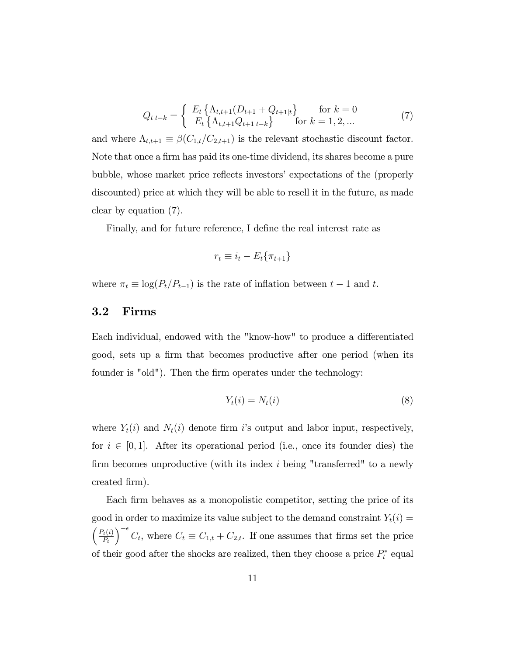$$
Q_{t|t-k} = \begin{cases} E_t \left\{ \Lambda_{t,t+1}(D_{t+1} + Q_{t+1|t}) \right\} & \text{for } k = 0\\ E_t \left\{ \Lambda_{t,t+1} Q_{t+1|t-k} \right\} & \text{for } k = 1, 2, ... \end{cases}
$$
(7)

and where  $\Lambda_{t,t+1} \equiv \beta(C_{1,t}/C_{2,t+1})$  is the relevant stochastic discount factor. Note that once a firm has paid its one-time dividend, its shares become a pure bubble, whose market price reflects investors' expectations of the (properly discounted) price at which they will be able to resell it in the future, as made clear by equation (7).

Finally, and for future reference, I define the real interest rate as

$$
r_t \equiv i_t - E_t \{ \pi_{t+1} \}
$$

where  $\pi_t \equiv \log(P_t/P_{t-1})$  is the rate of inflation between  $t - 1$  and t.

### 3.2 Firms

Each individual, endowed with the "know-how" to produce a differentiated good, sets up a firm that becomes productive after one period (when its founder is "old"). Then the firm operates under the technology:

$$
Y_t(i) = N_t(i) \tag{8}
$$

where  $Y_t(i)$  and  $N_t(i)$  denote firm is output and labor input, respectively, for  $i \in [0, 1]$ . After its operational period (i.e., once its founder dies) the firm becomes unproductive (with its index  $i$  being "transferred" to a newly created Örm).

Each firm behaves as a monopolistic competitor, setting the price of its good in order to maximize its value subject to the demand constraint  $Y_t(i) =$  $\int P_t(i)$  $P_t$  $\int_{0}^{-\epsilon} C_t$ , where  $C_t \equiv C_{1,t} + C_{2,t}$ . If one assumes that firms set the price of their good after the shocks are realized, then they choose a price  $P_t^*$  equal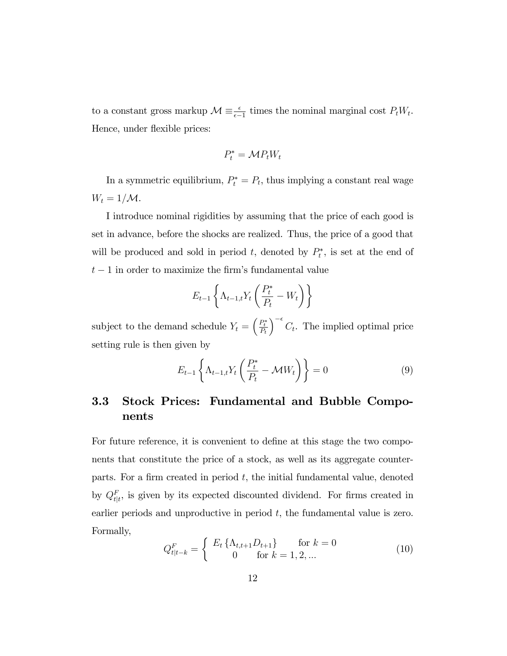to a constant gross markup  $\mathcal{M} \equiv \frac{\epsilon}{\epsilon - 1}$  times the nominal marginal cost  $P_t W_t$ . Hence, under flexible prices:

$$
P_t^* = \mathcal{M} P_t W_t
$$

In a symmetric equilibrium,  $P_t^* = P_t$ , thus implying a constant real wage  $W_t = 1/M$ .

I introduce nominal rigidities by assuming that the price of each good is set in advance, before the shocks are realized. Thus, the price of a good that will be produced and sold in period t, denoted by  $P_t^*$ , is set at the end of  $t-1$  in order to maximize the firm's fundamental value

$$
E_{t-1}\left\{\Lambda_{t-1,t}Y_t\left(\frac{P_t^*}{P_t} - W_t\right)\right\}
$$

subject to the demand schedule  $Y_t = \left(\frac{P_t^*}{P_t}\right)$  $\int_{0}^{-\epsilon} C_t$ . The implied optimal price setting rule is then given by

$$
E_{t-1}\left\{\Lambda_{t-1,t}Y_t\left(\frac{P_t^*}{P_t} - \mathcal{M}W_t\right)\right\} = 0\tag{9}
$$

### 3.3 Stock Prices: Fundamental and Bubble Components

For future reference, it is convenient to define at this stage the two components that constitute the price of a stock, as well as its aggregate counterparts. For a firm created in period  $t$ , the initial fundamental value, denoted by  $Q_{t|t}^F$ , is given by its expected discounted dividend. For firms created in earlier periods and unproductive in period  $t$ , the fundamental value is zero. Formally,

$$
Q_{t|t-k}^{F} = \begin{cases} E_t \left\{ \Lambda_{t,t+1} D_{t+1} \right\} & \text{for } k = 0\\ 0 & \text{for } k = 1, 2, ... \end{cases}
$$
 (10)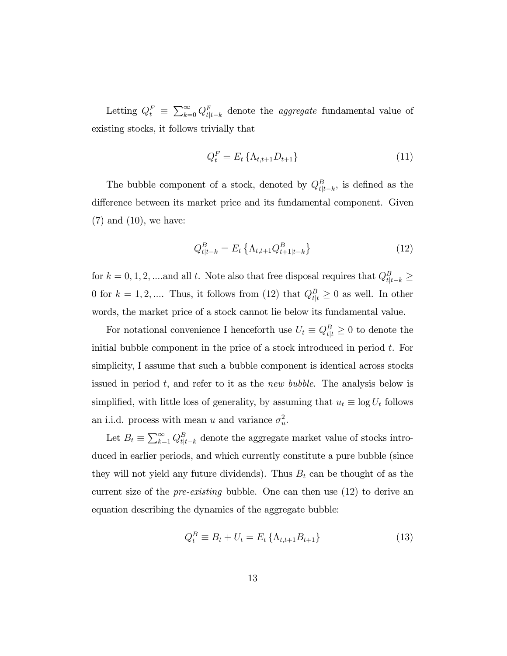Letting  $Q_t^F \equiv \sum_{k=0}^{\infty} Q_{t|t-k}^F$  denote the *aggregate* fundamental value of existing stocks, it follows trivially that

$$
Q_t^F = E_t \{ \Lambda_{t,t+1} D_{t+1} \}
$$
\n(11)

The bubble component of a stock, denoted by  $Q_{t|t-k}^B$ , is defined as the difference between its market price and its fundamental component. Given  $(7)$  and  $(10)$ , we have:

$$
Q_{t|t-k}^{B} = E_t \left\{ \Lambda_{t,t+1} Q_{t+1|t-k}^{B} \right\}
$$
 (12)

for  $k = 0, 1, 2, \dots$  and all t. Note also that free disposal requires that  $Q_{t|t-k}^B \ge$ 0 for  $k = 1, 2, \dots$ . Thus, it follows from (12) that  $Q_{t|t}^B \ge 0$  as well. In other words, the market price of a stock cannot lie below its fundamental value.

For notational convenience I henceforth use  $U_t \equiv Q_{t|t}^B \geq 0$  to denote the initial bubble component in the price of a stock introduced in period t. For simplicity, I assume that such a bubble component is identical across stocks issued in period  $t$ , and refer to it as the *new bubble*. The analysis below is simplified, with little loss of generality, by assuming that  $u_t \equiv \log U_t$  follows an i.i.d. process with mean u and variance  $\sigma_u^2$ .

Let  $B_t \equiv \sum_{k=1}^{\infty} Q_{t|t-k}^B$  denote the aggregate market value of stocks introduced in earlier periods, and which currently constitute a pure bubble (since they will not yield any future dividends). Thus  $B_t$  can be thought of as the current size of the *pre-existing* bubble. One can then use  $(12)$  to derive an equation describing the dynamics of the aggregate bubble:

$$
Q_t^B \equiv B_t + U_t = E_t \{ \Lambda_{t,t+1} B_{t+1} \}
$$
\n(13)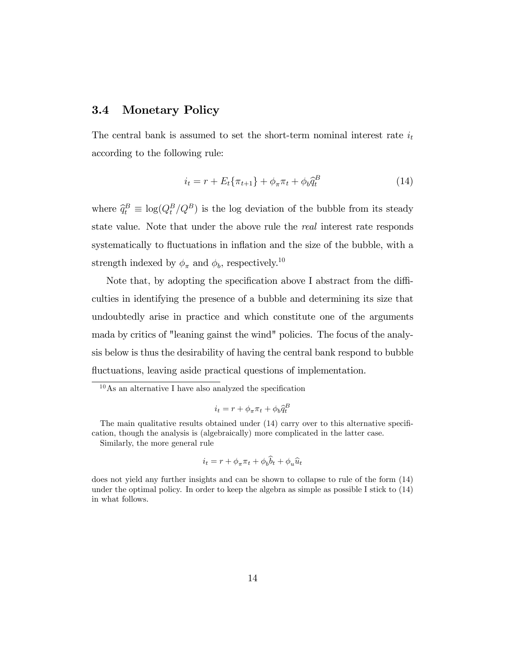### 3.4 Monetary Policy

The central bank is assumed to set the short-term nominal interest rate  $i_t$ according to the following rule:

$$
i_t = r + E_t \{ \pi_{t+1} \} + \phi_\pi \pi_t + \phi_b \hat{q}_t^B
$$
 (14)

where  $\hat{q}_t^B \equiv \log(Q_t^B/Q^B)$  is the log deviation of the bubble from its steady state value. Note that under the above rule the real interest rate responds systematically to fluctuations in inflation and the size of the bubble, with a strength indexed by  $\phi_{\pi}$  and  $\phi_{b}$ , respectively.<sup>10</sup>

Note that, by adopting the specification above I abstract from the difficulties in identifying the presence of a bubble and determining its size that undoubtedly arise in practice and which constitute one of the arguments mada by critics of "leaning gainst the wind" policies. The focus of the analysis below is thus the desirability of having the central bank respond to bubble fluctuations, leaving aside practical questions of implementation.

$$
i_t = r + \phi_\pi \pi_t + \phi_b \hat{q}_t^B
$$

The main qualitative results obtained under  $(14)$  carry over to this alternative specification, though the analysis is (algebraically) more complicated in the latter case.

Similarly, the more general rule

$$
i_t = r + \phi_\pi \pi_t + \phi_b \widehat{b}_t + \phi_u \widehat{u}_t
$$

does not yield any further insights and can be shown to collapse to rule of the form (14) under the optimal policy. In order to keep the algebra as simple as possible I stick to (14) in what follows.

 $10\text{ As an alternative I have also analyzed the specification}$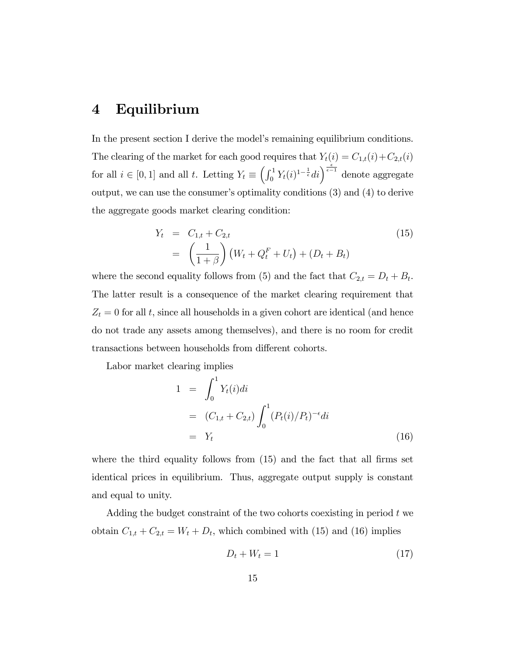## 4 Equilibrium

In the present section I derive the model's remaining equilibrium conditions. The clearing of the market for each good requires that  $Y_t(i) = C_{1,t}(i) + C_{2,t}(i)$ for all  $i \in [0, 1]$  and all t. Letting  $Y_t \equiv \left(\int_0^1 Y_t(i)^{1-\frac{1}{\epsilon}}di\right)^{\frac{\epsilon}{\epsilon-1}}$  denote aggregate output, we can use the consumer's optimality conditions  $(3)$  and  $(4)$  to derive the aggregate goods market clearing condition:

$$
Y_t = C_{1,t} + C_{2,t}
$$
  
=  $\left(\frac{1}{1+\beta}\right) (W_t + Q_t^F + U_t) + (D_t + B_t)$  (15)

where the second equality follows from (5) and the fact that  $C_{2,t} = D_t + B_t$ . The latter result is a consequence of the market clearing requirement that  $Z_t = 0$  for all t, since all households in a given cohort are identical (and hence do not trade any assets among themselves), and there is no room for credit transactions between households from different cohorts.

Labor market clearing implies

$$
1 = \int_0^1 Y_t(i)di
$$
  
=  $(C_{1,t} + C_{2,t}) \int_0^1 (P_t(i)/P_t)^{-\epsilon}di$   
=  $Y_t$  (16)

where the third equality follows from  $(15)$  and the fact that all firms set identical prices in equilibrium. Thus, aggregate output supply is constant and equal to unity.

Adding the budget constraint of the two cohorts coexisting in period t we obtain  $C_{1,t} + C_{2,t} = W_t + D_t$ , which combined with (15) and (16) implies

$$
D_t + W_t = 1\tag{17}
$$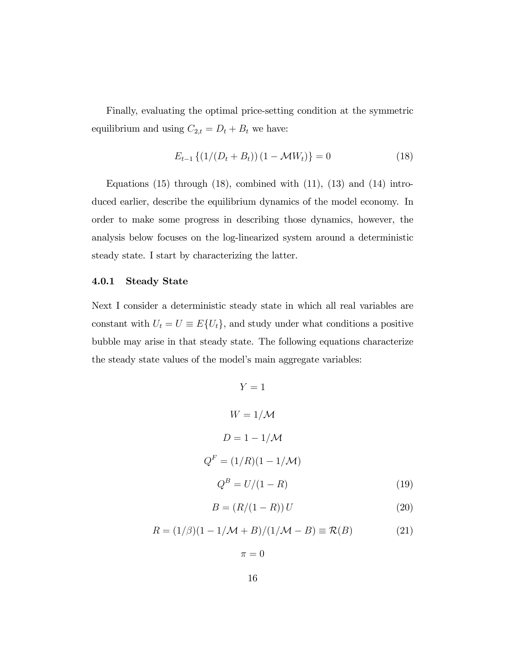Finally, evaluating the optimal price-setting condition at the symmetric equilibrium and using  $C_{2,t} = D_t + B_t$  we have:

$$
E_{t-1}\left\{(1/(D_t + B_t))(1 - \mathcal{M}W_t)\right\} = 0\tag{18}
$$

Equations  $(15)$  through  $(18)$ , combined with  $(11)$ ,  $(13)$  and  $(14)$  introduced earlier, describe the equilibrium dynamics of the model economy. In order to make some progress in describing those dynamics, however, the analysis below focuses on the log-linearized system around a deterministic steady state. I start by characterizing the latter.

### 4.0.1 Steady State

Next I consider a deterministic steady state in which all real variables are constant with  $U_t = U \equiv E\{U_t\}$ , and study under what conditions a positive bubble may arise in that steady state. The following equations characterize the steady state values of the model's main aggregate variables:

> $Y = 1$  $W = 1/M$  $D = 1 - 1/M$  $Q^F = (1/R)(1 - 1/M)$  $Q^B = U/(1 - R)$  (19)

$$
B = (R/(1 - R)) U \tag{20}
$$

$$
R = (1/\beta)(1 - 1/\mathcal{M} + B)/(1/\mathcal{M} - B) \equiv \mathcal{R}(B)
$$
 (21)

 $\pi = 0$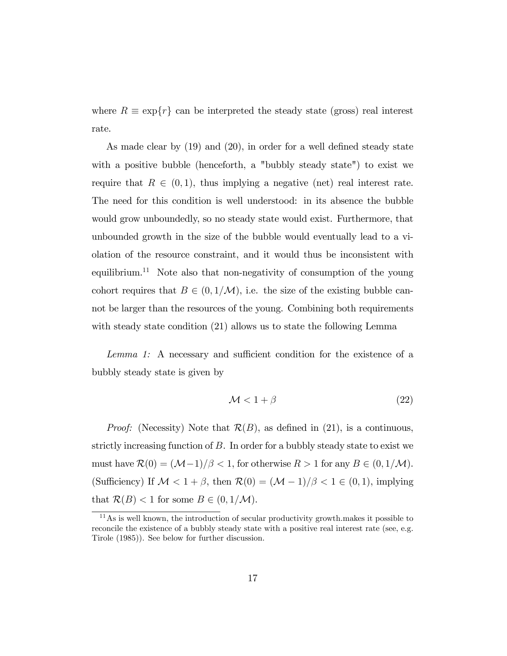where  $R \equiv \exp\{r\}$  can be interpreted the steady state (gross) real interest rate.

As made clear by  $(19)$  and  $(20)$ , in order for a well defined steady state with a positive bubble (henceforth, a "bubbly steady state") to exist we require that  $R \in (0, 1)$ , thus implying a negative (net) real interest rate. The need for this condition is well understood: in its absence the bubble would grow unboundedly, so no steady state would exist. Furthermore, that unbounded growth in the size of the bubble would eventually lead to a violation of the resource constraint, and it would thus be inconsistent with equilibrium.<sup>11</sup> Note also that non-negativity of consumption of the young cohort requires that  $B \in (0, 1/M)$ , i.e. the size of the existing bubble cannot be larger than the resources of the young. Combining both requirements with steady state condition (21) allows us to state the following Lemma

Lemma 1: A necessary and sufficient condition for the existence of a bubbly steady state is given by

$$
\mathcal{M} < 1 + \beta \tag{22}
$$

*Proof:* (Necessity) Note that  $\mathcal{R}(B)$ , as defined in (21), is a continuous, strictly increasing function of B. In order for a bubbly steady state to exist we must have  $\mathcal{R}(0) = (\mathcal{M}-1)/\beta < 1$ , for otherwise  $R > 1$  for any  $B \in (0, 1/\mathcal{M})$ . (Sufficiency) If  $\mathcal{M} < 1 + \beta$ , then  $\mathcal{R}(0) = (\mathcal{M} - 1)/\beta < 1 \in (0, 1)$ , implying that  $\mathcal{R}(B) < 1$  for some  $B \in (0, 1/\mathcal{M})$ .

 $11$ As is well known, the introduction of secular productivity growth.makes it possible to reconcile the existence of a bubbly steady state with a positive real interest rate (see, e.g. Tirole (1985)). See below for further discussion.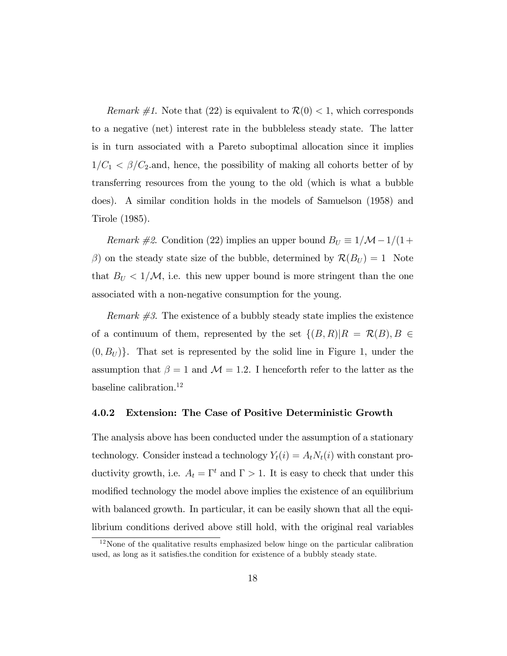*Remark #1*. Note that (22) is equivalent to  $\mathcal{R}(0) < 1$ , which corresponds to a negative (net) interest rate in the bubbleless steady state. The latter is in turn associated with a Pareto suboptimal allocation since it implies  $1/C_1 < \beta/C_2$  and, hence, the possibility of making all cohorts better of by transferring resources from the young to the old (which is what a bubble does). A similar condition holds in the models of Samuelson (1958) and Tirole (1985).

*Remark #2.* Condition (22) implies an upper bound  $B_U \equiv 1/\mathcal{M}-1/(1+\mathcal{M})$  $(\beta)$  on the steady state size of the bubble, determined by  $\mathcal{R}(B_U) = 1$  Note that  $B_U < 1/M$ , i.e. this new upper bound is more stringent than the one associated with a non-negative consumption for the young.

*Remark*  $\#3$ *.* The existence of a bubbly steady state implies the existence of a continuum of them, represented by the set  $\{(B,R)|R = \mathcal{R}(B), B \in$  $(0, B_U)$ . That set is represented by the solid line in Figure 1, under the assumption that  $\beta = 1$  and  $\mathcal{M} = 1.2$ . I henceforth refer to the latter as the baseline calibration.<sup>12</sup>

#### 4.0.2 Extension: The Case of Positive Deterministic Growth

The analysis above has been conducted under the assumption of a stationary technology. Consider instead a technology  $Y_t(i) = A_t N_t(i)$  with constant productivity growth, i.e.  $A_t = \Gamma^t$  and  $\Gamma > 1$ . It is easy to check that under this modified technology the model above implies the existence of an equilibrium with balanced growth. In particular, it can be easily shown that all the equilibrium conditions derived above still hold, with the original real variables

 $12$ None of the qualitative results emphasized below hinge on the particular calibration used, as long as it satisfies the condition for existence of a bubbly steady state.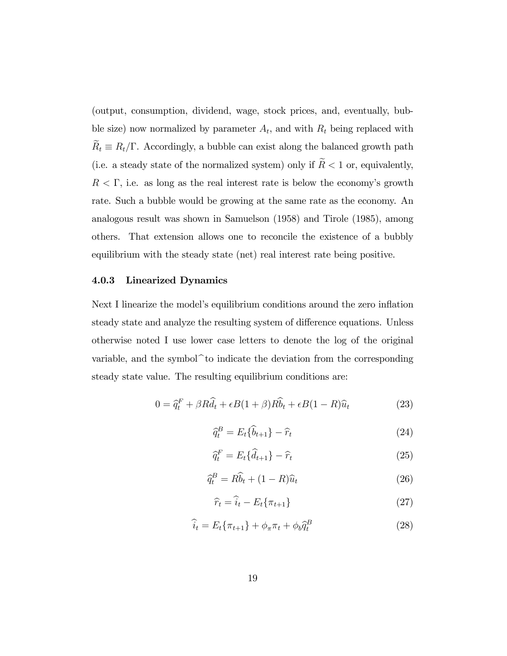(output, consumption, dividend, wage, stock prices, and, eventually, bubble size) now normalized by parameter  $A_t$ , and with  $R_t$  being replaced with  $\widetilde R_t\equiv R_t/\Gamma.$  Accordingly, a bubble can exist along the balanced growth path (i.e. a steady state of the normalized system) only if  $\widetilde{R} < 1$  or, equivalently,  $R < \Gamma$ , i.e. as long as the real interest rate is below the economy's growth rate. Such a bubble would be growing at the same rate as the economy. An analogous result was shown in Samuelson (1958) and Tirole (1985), among others. That extension allows one to reconcile the existence of a bubbly equilibrium with the steady state (net) real interest rate being positive.

#### 4.0.3 Linearized Dynamics

Next I linearize the model's equilibrium conditions around the zero inflation steady state and analyze the resulting system of difference equations. Unless otherwise noted I use lower case letters to denote the log of the original variable, and the symbol $\hat{}$  to indicate the deviation from the corresponding steady state value. The resulting equilibrium conditions are:

$$
0 = \hat{q}_t^F + \beta R \hat{d}_t + \epsilon B (1 + \beta) R \hat{b}_t + \epsilon B (1 - R) \hat{u}_t \tag{23}
$$

$$
\widehat{q}_t^B = E_t \{\widehat{b}_{t+1}\} - \widehat{r}_t \tag{24}
$$

$$
\widehat{q}_t^F = E_t\{\widehat{d}_{t+1}\} - \widehat{r}_t \tag{25}
$$

$$
\widehat{q}_t^B = R\widehat{b}_t + (1 - R)\widehat{u}_t \tag{26}
$$

$$
\widehat{r}_t = \widehat{i}_t - E_t \{ \pi_{t+1} \} \tag{27}
$$

$$
\widehat{i}_t = E_t \{ \pi_{t+1} \} + \phi_\pi \pi_t + \phi_b \widehat{q}_t^B \tag{28}
$$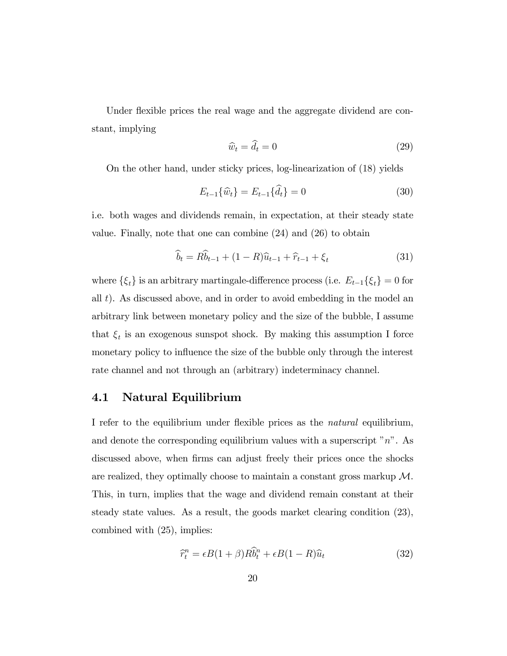Under flexible prices the real wage and the aggregate dividend are constant, implying

$$
\widehat{w}_t = \widehat{d}_t = 0 \tag{29}
$$

On the other hand, under sticky prices, log-linearization of (18) yields

$$
E_{t-1}\{\hat{w}_t\} = E_{t-1}\{\hat{d}_t\} = 0
$$
\n(30)

i.e. both wages and dividends remain, in expectation, at their steady state value. Finally, note that one can combine (24) and (26) to obtain

$$
\widehat{b}_t = R\widehat{b}_{t-1} + (1 - R)\widehat{u}_{t-1} + \widehat{r}_{t-1} + \xi_t
$$
\n(31)

where  $\{\xi_t\}$  is an arbitrary martingale-difference process (i.e.  $E_{t-1}\{\xi_t\} = 0$  for all t). As discussed above, and in order to avoid embedding in the model an arbitrary link between monetary policy and the size of the bubble, I assume that  $\xi_t$  is an exogenous sunspot shock. By making this assumption I force monetary policy to influence the size of the bubble only through the interest rate channel and not through an (arbitrary) indeterminacy channel.

### 4.1 Natural Equilibrium

I refer to the equilibrium under flexible prices as the *natural* equilibrium, and denote the corresponding equilibrium values with a superscript  $"n"$ . As discussed above, when firms can adjust freely their prices once the shocks are realized, they optimally choose to maintain a constant gross markup  $\mathcal{M}$ . This, in turn, implies that the wage and dividend remain constant at their steady state values. As a result, the goods market clearing condition (23), combined with (25), implies:

$$
\widehat{r}_t^n = \epsilon B(1+\beta)R\widehat{b}_t^n + \epsilon B(1-R)\widehat{u}_t \tag{32}
$$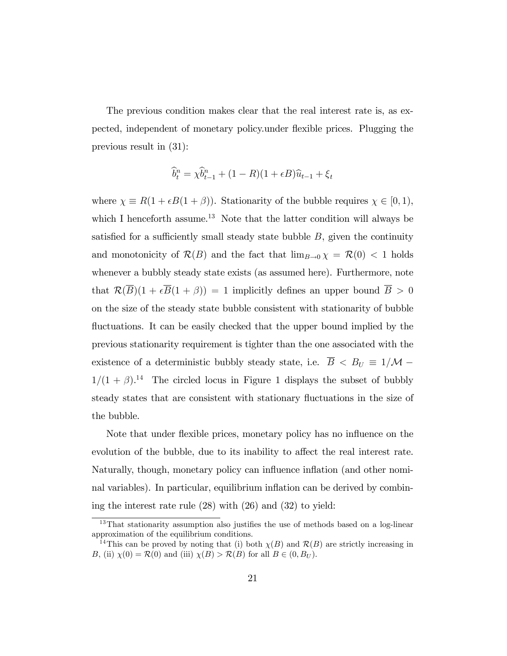The previous condition makes clear that the real interest rate is, as expected, independent of monetary policy.under áexible prices. Plugging the previous result in (31):

$$
\widehat{b}_t^n = \chi \widehat{b}_{t-1}^n + (1 - R)(1 + \epsilon B)\widehat{u}_{t-1} + \xi_t
$$

where  $\chi \equiv R(1 + \epsilon B(1 + \beta))$ . Stationarity of the bubble requires  $\chi \in [0, 1)$ , which I henceforth assume.<sup>13</sup> Note that the latter condition will always be satisfied for a sufficiently small steady state bubble  $B$ , given the continuity and monotonicity of  $\mathcal{R}(B)$  and the fact that  $\lim_{B\to 0} \chi = \mathcal{R}(0) < 1$  holds whenever a bubbly steady state exists (as assumed here). Furthermore, note that  $\mathcal{R}(\overline{B})(1+\epsilon\overline{B}(1+\beta))=1$  implicitly defines an upper bound  $\overline{B} > 0$ on the size of the steady state bubble consistent with stationarity of bubble fluctuations. It can be easily checked that the upper bound implied by the previous stationarity requirement is tighter than the one associated with the existence of a deterministic bubbly steady state, i.e.  $\overline{B}$  <  $B_U \equiv 1/M 1/(1 + \beta)^{14}$  The circled locus in Figure 1 displays the subset of bubbly steady states that are consistent with stationary fluctuations in the size of the bubble.

Note that under flexible prices, monetary policy has no influence on the evolution of the bubble, due to its inability to affect the real interest rate. Naturally, though, monetary policy can influence inflation (and other nominal variables). In particular, equilibrium inflation can be derived by combining the interest rate rule (28) with (26) and (32) to yield:

 $13$ That stationarity assumption also justifies the use of methods based on a log-linear approximation of the equilibrium conditions.

<sup>&</sup>lt;sup>14</sup>This can be proved by noting that (i) both  $\chi(B)$  and  $\mathcal{R}(B)$  are strictly increasing in B, (ii)  $\chi(0) = \mathcal{R}(0)$  and (iii)  $\chi(B) > \mathcal{R}(B)$  for all  $B \in (0, B_U)$ .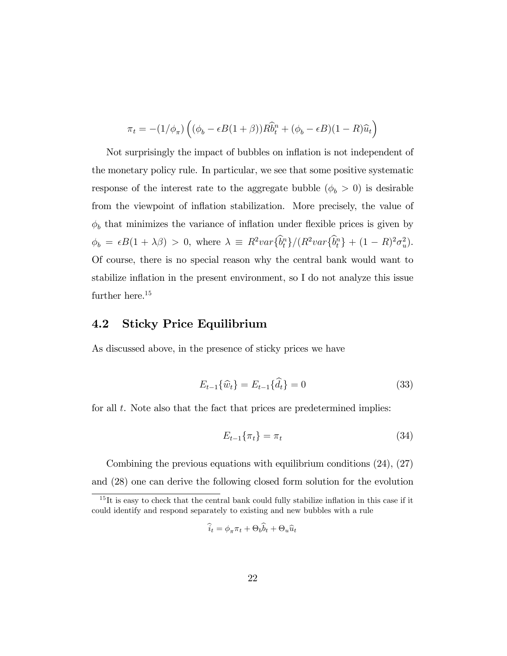$$
\pi_t = -(1/\phi_\pi) \left( (\phi_b - \epsilon B(1+\beta)) R \hat{b}_t^n + (\phi_b - \epsilon B)(1-R)\hat{u}_t \right)
$$

Not surprisingly the impact of bubbles on inflation is not independent of the monetary policy rule. In particular, we see that some positive systematic response of the interest rate to the aggregate bubble  $(\phi_b > 0)$  is desirable from the viewpoint of ináation stabilization. More precisely, the value of  $\phi_b$  that minimizes the variance of inflation under flexible prices is given by  $\phi_b = \epsilon B(1 + \lambda \beta) > 0$ , where  $\lambda \equiv R^2 var \{\hat{b}_t^n\} / (R^2 var \{\hat{b}_t^n\} + (1 - R)^2 \sigma_u^2)$ . Of course, there is no special reason why the central bank would want to stabilize inflation in the present environment, so I do not analyze this issue further here.<sup>15</sup>

### 4.2 Sticky Price Equilibrium

As discussed above, in the presence of sticky prices we have

$$
E_{t-1}\{\hat{w}_t\} = E_{t-1}\{\hat{d}_t\} = 0
$$
\n(33)

for all t. Note also that the fact that prices are predetermined implies:

$$
E_{t-1}\{\pi_t\} = \pi_t \tag{34}
$$

Combining the previous equations with equilibrium conditions (24), (27) and (28) one can derive the following closed form solution for the evolution

$$
\widehat{i}_t = \phi_\pi \pi_t + \Theta_b \widehat{b}_t + \Theta_u \widehat{u}_t
$$

 $15$ It is easy to check that the central bank could fully stabilize inflation in this case if it could identify and respond separately to existing and new bubbles with a rule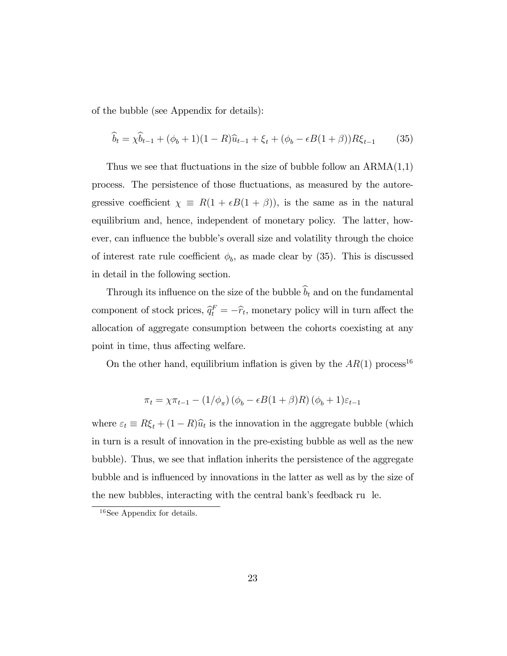of the bubble (see Appendix for details):

$$
\hat{b}_t = \chi \hat{b}_{t-1} + (\phi_b + 1)(1 - R)\hat{u}_{t-1} + \xi_t + (\phi_b - \epsilon B(1 + \beta))R\xi_{t-1}
$$
 (35)

Thus we see that fluctuations in the size of bubble follow an  $ARMA(1,1)$ process. The persistence of those fluctuations, as measured by the autoregressive coefficient  $\chi \equiv R(1 + \epsilon B(1 + \beta))$ , is the same as in the natural equilibrium and, hence, independent of monetary policy. The latter, however, can influence the bubble's overall size and volatility through the choice of interest rate rule coefficient  $\phi_b$ , as made clear by (35). This is discussed in detail in the following section.

Through its influence on the size of the bubble  $\widehat{b}_t$  and on the fundamental component of stock prices,  $\hat{q}_t^F = -\hat{r}_t$ , monetary policy will in turn affect the allocation of aggregate consumption between the cohorts coexisting at any point in time, thus affecting welfare.

On the other hand, equilibrium inflation is given by the  $AR(1)$  process<sup>16</sup>

$$
\pi_t = \chi \pi_{t-1} - (1/\phi_{\pi}) (\phi_b - \epsilon B(1+\beta)R) (\phi_b + 1)\varepsilon_{t-1}
$$

where  $\varepsilon_t \equiv R\xi_t + (1 - R)\hat{u}_t$  is the innovation in the aggregate bubble (which in turn is a result of innovation in the pre-existing bubble as well as the new bubble). Thus, we see that ináation inherits the persistence of the aggregate bubble and is influenced by innovations in the latter as well as by the size of the new bubbles, interacting with the central bank's feedback ru le.

<sup>16</sup>See Appendix for details.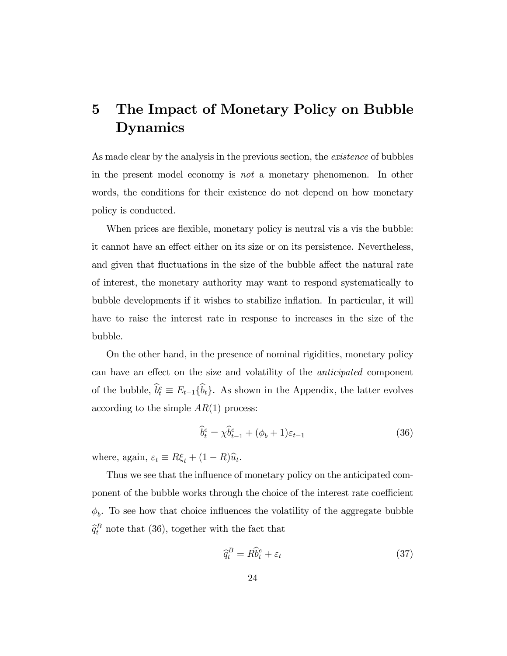## 5 The Impact of Monetary Policy on Bubble Dynamics

As made clear by the analysis in the previous section, the *existence* of bubbles in the present model economy is not a monetary phenomenon. In other words, the conditions for their existence do not depend on how monetary policy is conducted.

When prices are flexible, monetary policy is neutral vis a vis the bubble: it cannot have an effect either on its size or on its persistence. Nevertheless, and given that fluctuations in the size of the bubble affect the natural rate of interest, the monetary authority may want to respond systematically to bubble developments if it wishes to stabilize inflation. In particular, it will have to raise the interest rate in response to increases in the size of the bubble.

On the other hand, in the presence of nominal rigidities, monetary policy can have an effect on the size and volatility of the *anticipated* component of the bubble,  $\hat{b}_t^e \equiv E_{t-1}\{\hat{b}_t\}$ . As shown in the Appendix, the latter evolves according to the simple  $AR(1)$  process:

$$
\widehat{b}_t^e = \chi \widehat{b}_{t-1}^e + (\phi_b + 1)\varepsilon_{t-1} \tag{36}
$$

where, again,  $\varepsilon_t \equiv R\xi_t + (1 - R)\hat{u}_t$ .

Thus we see that the influence of monetary policy on the anticipated component of the bubble works through the choice of the interest rate coefficient  $\phi_b$ . To see how that choice influences the volatility of the aggregate bubble  $\widehat{q}_t^B$  note that (36), together with the fact that

$$
\hat{q}_t^B = R\hat{b}_t^e + \varepsilon_t \tag{37}
$$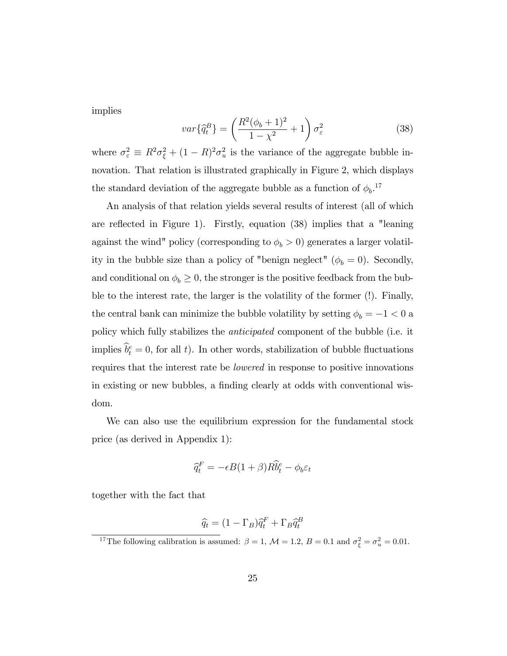implies

$$
var\{\hat{q}_t^B\} = \left(\frac{R^2(\phi_b + 1)^2}{1 - \chi^2} + 1\right)\sigma_\varepsilon^2\tag{38}
$$

where  $\sigma_{\varepsilon}^2 \equiv R^2 \sigma_{\xi}^2 + (1 - R)^2 \sigma_u^2$  is the variance of the aggregate bubble innovation. That relation is illustrated graphically in Figure 2, which displays the standard deviation of the aggregate bubble as a function of  $\phi_b$ <sup>17</sup>

An analysis of that relation yields several results of interest (all of which are reflected in Figure 1). Firstly, equation  $(38)$  implies that a "leaning against the wind" policy (corresponding to  $\phi_b > 0$ ) generates a larger volatility in the bubble size than a policy of "benign neglect" ( $\phi_b = 0$ ). Secondly, and conditional on  $\phi_b \geq 0$ , the stronger is the positive feedback from the bubble to the interest rate, the larger is the volatility of the former (!). Finally, the central bank can minimize the bubble volatility by setting  $\phi_b = -1 < 0$  a policy which fully stabilizes the anticipated component of the bubble (i.e. it implies  $\hat{b}_t^e = 0$ , for all t). In other words, stabilization of bubble fluctuations requires that the interest rate be lowered in response to positive innovations in existing or new bubbles, a finding clearly at odds with conventional wisdom.

We can also use the equilibrium expression for the fundamental stock price (as derived in Appendix 1):

$$
\widehat{q}_t^F = -\epsilon B(1+\beta)R\widehat{b}_t^e - \phi_b \varepsilon_t
$$

together with the fact that

$$
\widehat{q}_t = (1 - \Gamma_B)\widehat{q}_t^F + \Gamma_B \widehat{q}_t^B
$$

<sup>&</sup>lt;sup>17</sup>The following calibration is assumed:  $\beta = 1$ ,  $\mathcal{M} = 1.2$ ,  $B = 0.1$  and  $\sigma_{\xi}^2 = \sigma_u^2 = 0.01$ .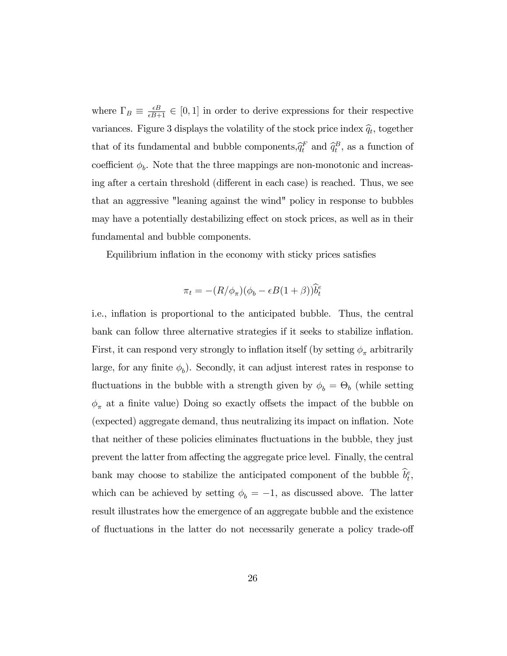where  $\Gamma_B \equiv \frac{\epsilon B}{\epsilon B+1} \in [0,1]$  in order to derive expressions for their respective variances. Figure 3 displays the volatility of the stock price index  $\hat{q}_t$ , together that of its fundamental and bubble components,  $\hat{q}_t^F$  and  $\hat{q}_t^B$ , as a function of coefficient  $\phi_b$ . Note that the three mappings are non-monotonic and increasing after a certain threshold (different in each case) is reached. Thus, we see that an aggressive "leaning against the wind" policy in response to bubbles may have a potentially destabilizing effect on stock prices, as well as in their fundamental and bubble components.

Equilibrium inflation in the economy with sticky prices satisfies

$$
\pi_t = -(R/\phi_\pi)(\phi_b - \epsilon B(1+\beta))\widehat{b}_t^e
$$

i.e., inflation is proportional to the anticipated bubble. Thus, the central bank can follow three alternative strategies if it seeks to stabilize inflation. First, it can respond very strongly to inflation itself (by setting  $\phi_{\pi}$  arbitrarily large, for any finite  $\phi_b$ ). Secondly, it can adjust interest rates in response to fluctuations in the bubble with a strength given by  $\phi_b = \Theta_b$  (while setting  $\phi_\pi$  at a finite value) Doing so exactly offsets the impact of the bubble on (expected) aggregate demand, thus neutralizing its impact on ináation. Note that neither of these policies eliminates fluctuations in the bubble, they just prevent the latter from affecting the aggregate price level. Finally, the central bank may choose to stabilize the anticipated component of the bubble  $\hat{b}_t^e$ , which can be achieved by setting  $\phi_b = -1$ , as discussed above. The latter result illustrates how the emergence of an aggregate bubble and the existence of fluctuations in the latter do not necessarily generate a policy trade-off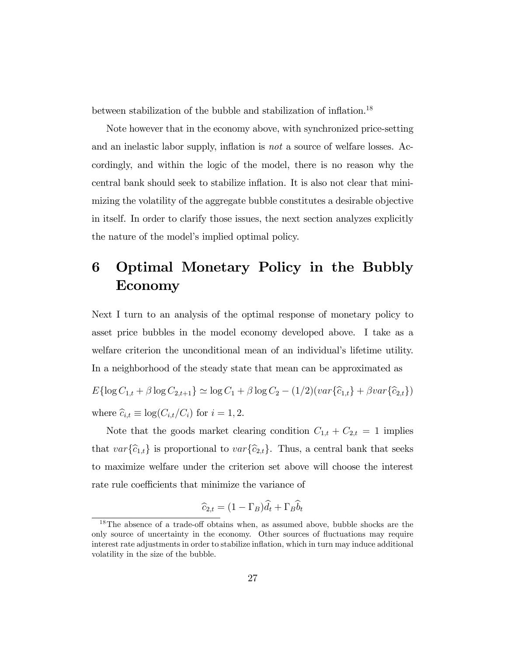between stabilization of the bubble and stabilization of inflation.<sup>18</sup>

Note however that in the economy above, with synchronized price-setting and an inelastic labor supply, inflation is *not* a source of welfare losses. Accordingly, and within the logic of the model, there is no reason why the central bank should seek to stabilize inflation. It is also not clear that minimizing the volatility of the aggregate bubble constitutes a desirable objective in itself. In order to clarify those issues, the next section analyzes explicitly the nature of the model's implied optimal policy.

## 6 Optimal Monetary Policy in the Bubbly Economy

Next I turn to an analysis of the optimal response of monetary policy to asset price bubbles in the model economy developed above. I take as a welfare criterion the unconditional mean of an individual's lifetime utility. In a neighborhood of the steady state that mean can be approximated as

 $E\{\log C_{1,t} + \beta \log C_{2,t+1}\} \simeq \log C_1 + \beta \log C_2 - (1/2)(var\{\widehat{c}_{1,t}\} + \beta var\{\widehat{c}_{2,t}\})$ where  $\widehat{c}_{i,t} \equiv \log(C_{i,t}/C_i)$  for  $i = 1, 2$ .

Note that the goods market clearing condition  $C_{1,t} + C_{2,t} = 1$  implies that  $var\{\hat{c}_{1,t}\}\$ is proportional to  $var\{\hat{c}_{2,t}\}\$ . Thus, a central bank that seeks to maximize welfare under the criterion set above will choose the interest rate rule coefficients that minimize the variance of

$$
\widehat{c}_{2,t} = (1 - \Gamma_B)\widehat{d}_t + \Gamma_B \widehat{b}_t
$$

 $18$ The absence of a trade-off obtains when, as assumed above, bubble shocks are the only source of uncertainty in the economy. Other sources of áuctuations may require interest rate adjustments in order to stabilize inflation, which in turn may induce additional volatility in the size of the bubble.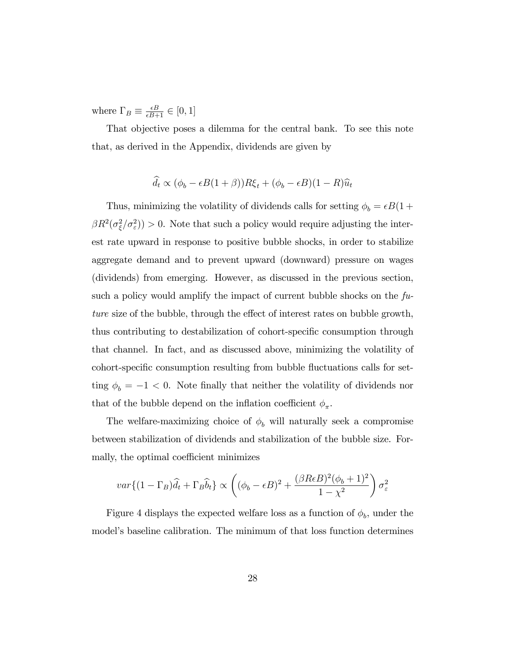where  $\Gamma_B \equiv \frac{\epsilon B}{\epsilon B + 1} \in [0, 1]$ 

That objective poses a dilemma for the central bank. To see this note that, as derived in the Appendix, dividends are given by

$$
\hat{d}_t \propto (\phi_b - \epsilon B(1+\beta))R\xi_t + (\phi_b - \epsilon B)(1-R)\hat{u}_t
$$

Thus, minimizing the volatility of dividends calls for setting  $\phi_b = \epsilon B(1 +$  $\beta R^2(\sigma_{\xi}^2/\sigma_{\varepsilon}^2)$  > 0. Note that such a policy would require adjusting the interest rate upward in response to positive bubble shocks, in order to stabilize aggregate demand and to prevent upward (downward) pressure on wages (dividends) from emerging. However, as discussed in the previous section, such a policy would amplify the impact of current bubble shocks on the  $fu$ ture size of the bubble, through the effect of interest rates on bubble growth, thus contributing to destabilization of cohort-specific consumption through that channel. In fact, and as discussed above, minimizing the volatility of cohort-specific consumption resulting from bubble fluctuations calls for setting  $\phi_b = -1 < 0$ . Note finally that neither the volatility of dividends nor that of the bubble depend on the inflation coefficient  $\phi_{\pi}$ .

The welfare-maximizing choice of  $\phi_b$  will naturally seek a compromise between stabilization of dividends and stabilization of the bubble size. Formally, the optimal coefficient minimizes

$$
var\{(1-\Gamma_B)\widehat{d}_t+\Gamma_B\widehat{b}_t\}\propto \left((\phi_b-\epsilon B)^2+\frac{(\beta Re B)^2(\phi_b+1)^2}{1-\chi^2}\right)\sigma_{\varepsilon}^2
$$

Figure 4 displays the expected welfare loss as a function of  $\phi_b$ , under the model's baseline calibration. The minimum of that loss function determines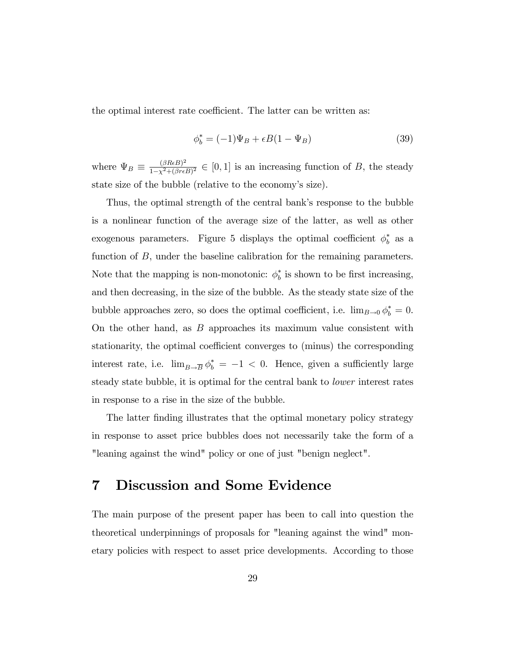the optimal interest rate coefficient. The latter can be written as:

$$
\phi_b^* = (-1)\Psi_B + \epsilon B(1 - \Psi_B) \tag{39}
$$

where  $\Psi_B \equiv \frac{(\beta ReB)^2}{1-\chi^2+(\beta reB)}$  $\frac{(\beta R E) - 1}{1 - \chi^2 + (\beta r \epsilon B)^2} \in [0, 1]$  is an increasing function of B, the steady state size of the bubble (relative to the economy's size).

Thus, the optimal strength of the central bank's response to the bubble is a nonlinear function of the average size of the latter, as well as other exogenous parameters. Figure 5 displays the optimal coefficient  $\phi_b^*$  as a function of  $B$ , under the baseline calibration for the remaining parameters. Note that the mapping is non-monotonic:  $\phi_b^*$  is shown to be first increasing, and then decreasing, in the size of the bubble. As the steady state size of the bubble approaches zero, so does the optimal coefficient, i.e.  $\lim_{B\to 0} \phi_b^* = 0$ . On the other hand, as B approaches its maximum value consistent with stationarity, the optimal coefficient converges to (minus) the corresponding interest rate, i.e.  $\lim_{B \to \overline{B}} \phi_b^* = -1 < 0$ . Hence, given a sufficiently large steady state bubble, it is optimal for the central bank to lower interest rates in response to a rise in the size of the bubble.

The latter finding illustrates that the optimal monetary policy strategy in response to asset price bubbles does not necessarily take the form of a "leaning against the wind" policy or one of just "benign neglect".

## 7 Discussion and Some Evidence

The main purpose of the present paper has been to call into question the theoretical underpinnings of proposals for "leaning against the wind" monetary policies with respect to asset price developments. According to those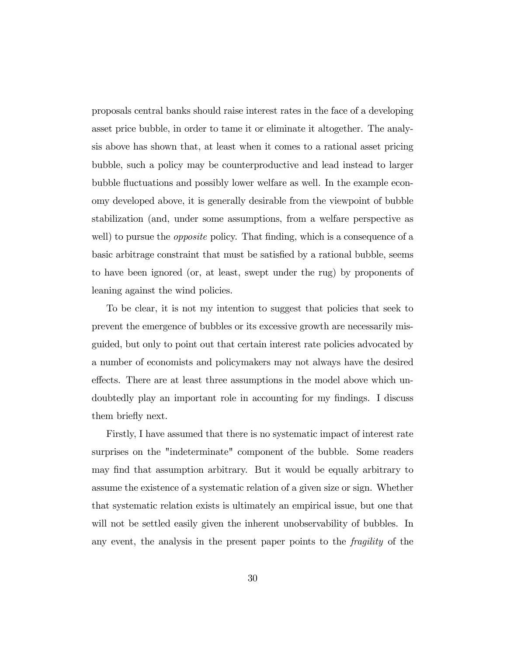proposals central banks should raise interest rates in the face of a developing asset price bubble, in order to tame it or eliminate it altogether. The analysis above has shown that, at least when it comes to a rational asset pricing bubble, such a policy may be counterproductive and lead instead to larger bubble fluctuations and possibly lower welfare as well. In the example economy developed above, it is generally desirable from the viewpoint of bubble stabilization (and, under some assumptions, from a welfare perspective as well) to pursue the *opposite* policy. That finding, which is a consequence of a basic arbitrage constraint that must be satisfied by a rational bubble, seems to have been ignored (or, at least, swept under the rug) by proponents of leaning against the wind policies.

To be clear, it is not my intention to suggest that policies that seek to prevent the emergence of bubbles or its excessive growth are necessarily misguided, but only to point out that certain interest rate policies advocated by a number of economists and policymakers may not always have the desired effects. There are at least three assumptions in the model above which undoubtedly play an important role in accounting for my findings. I discuss them briefly next.

Firstly, I have assumed that there is no systematic impact of interest rate surprises on the "indeterminate" component of the bubble. Some readers may find that assumption arbitrary. But it would be equally arbitrary to assume the existence of a systematic relation of a given size or sign. Whether that systematic relation exists is ultimately an empirical issue, but one that will not be settled easily given the inherent unobservability of bubbles. In any event, the analysis in the present paper points to the fragility of the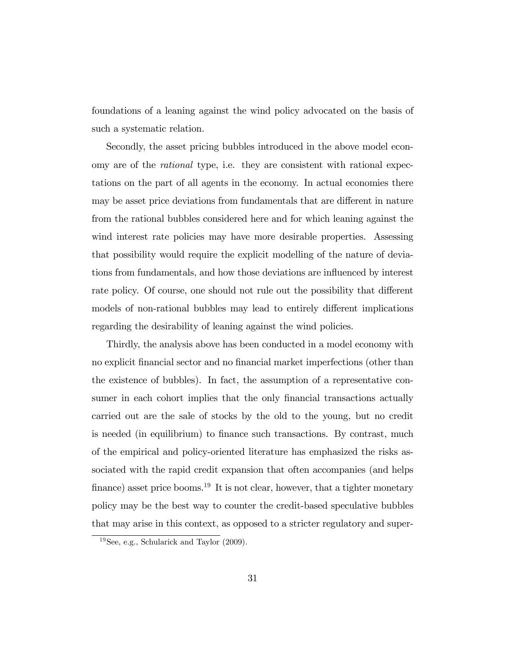foundations of a leaning against the wind policy advocated on the basis of such a systematic relation.

Secondly, the asset pricing bubbles introduced in the above model economy are of the rational type, i.e. they are consistent with rational expectations on the part of all agents in the economy. In actual economies there may be asset price deviations from fundamentals that are different in nature from the rational bubbles considered here and for which leaning against the wind interest rate policies may have more desirable properties. Assessing that possibility would require the explicit modelling of the nature of deviations from fundamentals, and how those deviations are ináuenced by interest rate policy. Of course, one should not rule out the possibility that different models of non-rational bubbles may lead to entirely different implications regarding the desirability of leaning against the wind policies.

Thirdly, the analysis above has been conducted in a model economy with no explicit financial sector and no financial market imperfections (other than the existence of bubbles). In fact, the assumption of a representative consumer in each cohort implies that the only financial transactions actually carried out are the sale of stocks by the old to the young, but no credit is needed (in equilibrium) to finance such transactions. By contrast, much of the empirical and policy-oriented literature has emphasized the risks associated with the rapid credit expansion that often accompanies (and helps finance) asset price booms.<sup>19</sup> It is not clear, however, that a tighter monetary policy may be the best way to counter the credit-based speculative bubbles that may arise in this context, as opposed to a stricter regulatory and super-

<sup>19</sup>See, e.g., Schularick and Taylor (2009).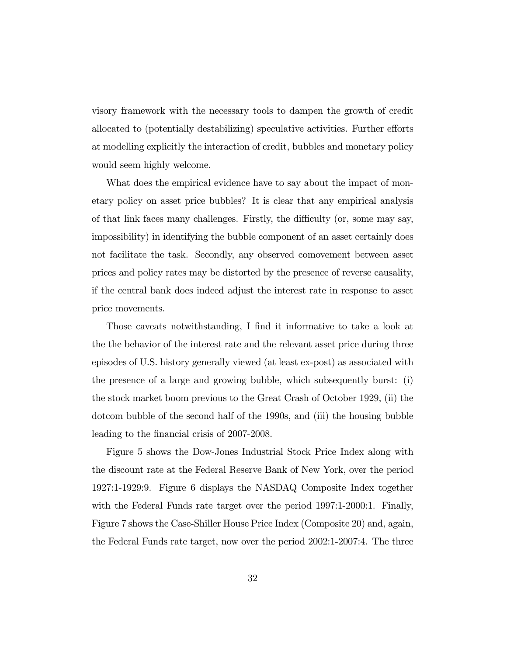visory framework with the necessary tools to dampen the growth of credit allocated to (potentially destabilizing) speculative activities. Further efforts at modelling explicitly the interaction of credit, bubbles and monetary policy would seem highly welcome.

What does the empirical evidence have to say about the impact of monetary policy on asset price bubbles? It is clear that any empirical analysis of that link faces many challenges. Firstly, the difficulty (or, some may say, impossibility) in identifying the bubble component of an asset certainly does not facilitate the task. Secondly, any observed comovement between asset prices and policy rates may be distorted by the presence of reverse causality, if the central bank does indeed adjust the interest rate in response to asset price movements.

Those caveats notwithstanding, I find it informative to take a look at the the behavior of the interest rate and the relevant asset price during three episodes of U.S. history generally viewed (at least ex-post) as associated with the presence of a large and growing bubble, which subsequently burst: (i) the stock market boom previous to the Great Crash of October 1929, (ii) the dotcom bubble of the second half of the 1990s, and (iii) the housing bubble leading to the financial crisis of 2007-2008.

Figure 5 shows the Dow-Jones Industrial Stock Price Index along with the discount rate at the Federal Reserve Bank of New York, over the period 1927:1-1929:9. Figure 6 displays the NASDAQ Composite Index together with the Federal Funds rate target over the period 1997:1-2000:1. Finally, Figure 7 shows the Case-Shiller House Price Index (Composite 20) and, again, the Federal Funds rate target, now over the period 2002:1-2007:4. The three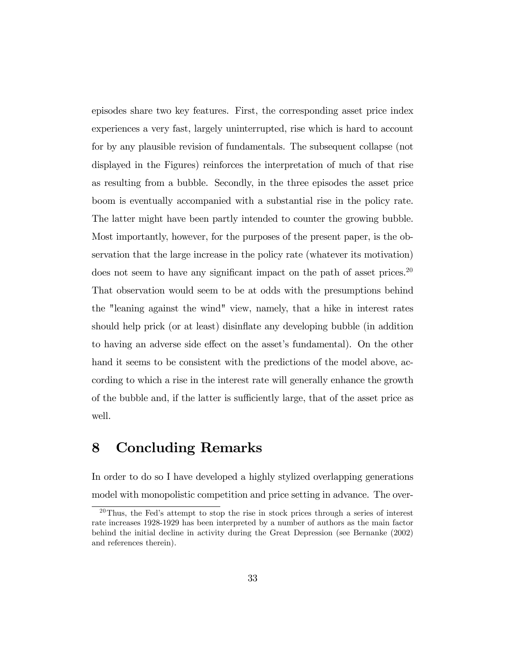episodes share two key features. First, the corresponding asset price index experiences a very fast, largely uninterrupted, rise which is hard to account for by any plausible revision of fundamentals. The subsequent collapse (not displayed in the Figures) reinforces the interpretation of much of that rise as resulting from a bubble. Secondly, in the three episodes the asset price boom is eventually accompanied with a substantial rise in the policy rate. The latter might have been partly intended to counter the growing bubble. Most importantly, however, for the purposes of the present paper, is the observation that the large increase in the policy rate (whatever its motivation) does not seem to have any significant impact on the path of asset prices.<sup>20</sup> That observation would seem to be at odds with the presumptions behind the "leaning against the wind" view, namely, that a hike in interest rates should help prick (or at least) disinflate any developing bubble (in addition to having an adverse side effect on the asset's fundamental). On the other hand it seems to be consistent with the predictions of the model above, according to which a rise in the interest rate will generally enhance the growth of the bubble and, if the latter is sufficiently large, that of the asset price as well.

## 8 Concluding Remarks

In order to do so I have developed a highly stylized overlapping generations model with monopolistic competition and price setting in advance. The over-

 $^{20}$ Thus, the Fed's attempt to stop the rise in stock prices through a series of interest rate increases 1928-1929 has been interpreted by a number of authors as the main factor behind the initial decline in activity during the Great Depression (see Bernanke (2002) and references therein).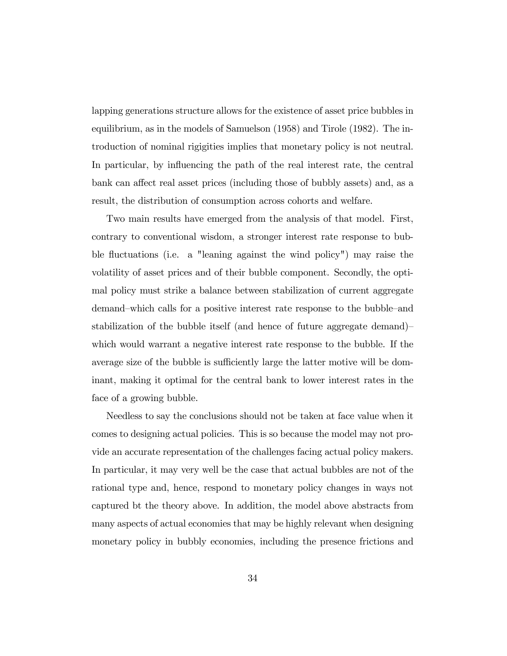lapping generations structure allows for the existence of asset price bubbles in equilibrium, as in the models of Samuelson (1958) and Tirole (1982). The introduction of nominal rigigities implies that monetary policy is not neutral. In particular, by influencing the path of the real interest rate, the central bank can affect real asset prices (including those of bubbly assets) and, as a result, the distribution of consumption across cohorts and welfare.

Two main results have emerged from the analysis of that model. First, contrary to conventional wisdom, a stronger interest rate response to bubble fluctuations (i.e. a "leaning against the wind policy") may raise the volatility of asset prices and of their bubble component. Secondly, the optimal policy must strike a balance between stabilization of current aggregate demand–which calls for a positive interest rate response to the bubble–and stabilization of the bubble itself (and hence of future aggregate demand) $\overline{\phantom{a}}$ which would warrant a negative interest rate response to the bubble. If the average size of the bubble is sufficiently large the latter motive will be dominant, making it optimal for the central bank to lower interest rates in the face of a growing bubble.

Needless to say the conclusions should not be taken at face value when it comes to designing actual policies. This is so because the model may not provide an accurate representation of the challenges facing actual policy makers. In particular, it may very well be the case that actual bubbles are not of the rational type and, hence, respond to monetary policy changes in ways not captured bt the theory above. In addition, the model above abstracts from many aspects of actual economies that may be highly relevant when designing monetary policy in bubbly economies, including the presence frictions and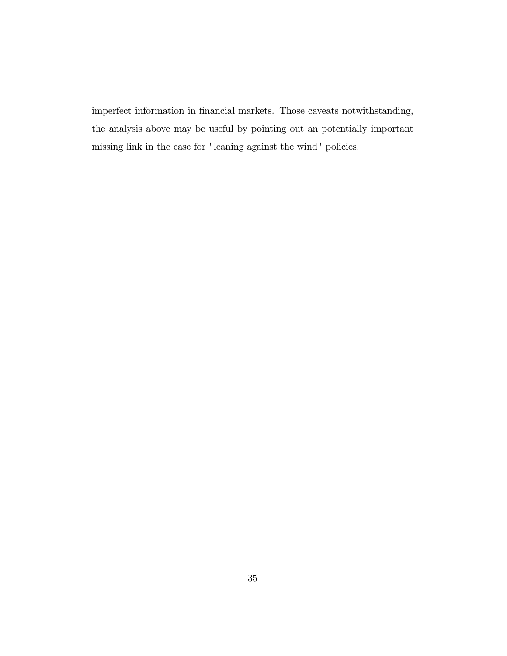imperfect information in financial markets. Those caveats notwithstanding, the analysis above may be useful by pointing out an potentially important missing link in the case for "leaning against the wind" policies.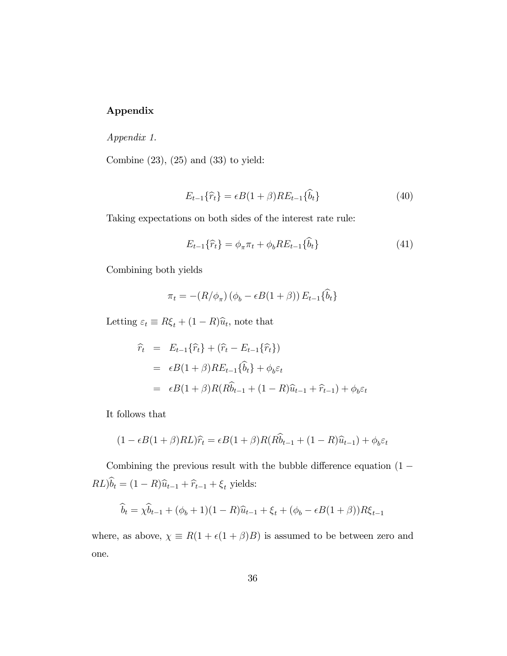### Appendix

Appendix 1.

Combine  $(23)$ ,  $(25)$  and  $(33)$  to yield:

$$
E_{t-1}\lbrace \widehat{r}_t \rbrace = \epsilon B(1+\beta)RE_{t-1}\lbrace \widehat{b}_t \rbrace
$$
\n(40)

Taking expectations on both sides of the interest rate rule:

$$
E_{t-1}\{\hat{r}_t\} = \phi_{\pi}\pi_t + \phi_b RE_{t-1}\{b_t\} \tag{41}
$$

Combining both yields

$$
\pi_t = -(R/\phi_\pi) (\phi_b - \epsilon B(1+\beta)) E_{t-1} {\hat{b}_t}
$$

Letting  $\varepsilon_t \equiv R\xi_t + (1 - R)\hat{u}_t$ , note that

$$
\begin{aligned}\n\widehat{r}_t &= E_{t-1}\{\widehat{r}_t\} + (\widehat{r}_t - E_{t-1}\{\widehat{r}_t\}) \\
&= \epsilon B(1+\beta)RE_{t-1}\{\widehat{b}_t\} + \phi_b \varepsilon_t \\
&= \epsilon B(1+\beta)R(R\widehat{b}_{t-1} + (1-R)\widehat{u}_{t-1} + \widehat{r}_{t-1}) + \phi_b \varepsilon_t\n\end{aligned}
$$

It follows that

$$
(1 - \epsilon B(1 + \beta)RL)\hat{r}_t = \epsilon B(1 + \beta)R(R\hat{b}_{t-1} + (1 - R)\hat{u}_{t-1}) + \phi_b \varepsilon_t
$$

Combining the previous result with the bubble difference equation  $(1 RL\hat{b}_t = (1 - R)\hat{u}_{t-1} + \hat{r}_{t-1} + \xi_t$  yields:

$$
\hat{b}_t = \chi \hat{b}_{t-1} + (\phi_b + 1)(1 - R)\hat{u}_{t-1} + \xi_t + (\phi_b - \epsilon B(1 + \beta))R\xi_{t-1}
$$

where, as above,  $\chi \equiv R(1 + \epsilon(1 + \beta)B)$  is assumed to be between zero and one.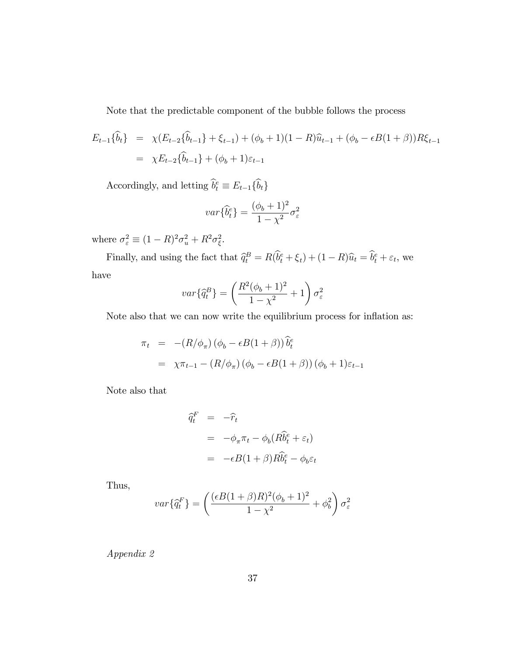Note that the predictable component of the bubble follows the process

$$
E_{t-1}\{\hat{b}_t\} = \chi(E_{t-2}\{\hat{b}_{t-1}\} + \xi_{t-1}) + (\phi_b + 1)(1 - R)\hat{u}_{t-1} + (\phi_b - \epsilon B(1 + \beta))R\xi_{t-1}
$$
  
=  $\chi E_{t-2}\{\hat{b}_{t-1}\} + (\phi_b + 1)\varepsilon_{t-1}$ 

Accordingly, and letting  $\hat{b}_t^e \equiv E_{t-1} \{\hat{b}_t\}$ 

$$
var\{\hat{b}_t^e\} = \frac{(\phi_b + 1)^2}{1 - \chi^2} \sigma_\varepsilon^2
$$

where  $\sigma_{\varepsilon}^2 \equiv (1 - R)^2 \sigma_u^2 + R^2 \sigma_{\xi}^2$ .

Finally, and using the fact that  $\hat{q}_t^B = R(\hat{b}_t^e + \xi_t) + (1 - R)\hat{u}_t = \hat{b}_t^e + \varepsilon_t$ , we have

$$
var\{\hat{q}_t^B\} = \left(\frac{R^2(\phi_b + 1)^2}{1 - \chi^2} + 1\right)\sigma_\varepsilon^2
$$

Note also that we can now write the equilibrium process for inflation as:

$$
\pi_t = -(R/\phi_\pi) (\phi_b - \epsilon B(1+\beta)) \widehat{b}_t^e
$$
  
=  $\chi \pi_{t-1} - (R/\phi_\pi) (\phi_b - \epsilon B(1+\beta)) (\phi_b + 1)\epsilon_{t-1}$ 

Note also that

$$
\begin{aligned}\n\widehat{q}_t^F &= -\widehat{r}_t \\
&= -\phi_\pi \pi_t - \phi_b (R\widehat{b}_t^e + \varepsilon_t) \\
&= -\epsilon B(1+\beta)R\widehat{b}_t^e - \phi_b \varepsilon_t\n\end{aligned}
$$

Thus,

$$
var\{\hat{q}_t^F\} = \left(\frac{(\epsilon B(1+\beta)R)^2(\phi_b+1)^2}{1-\chi^2} + \phi_b^2\right)\sigma_\varepsilon^2
$$

Appendix 2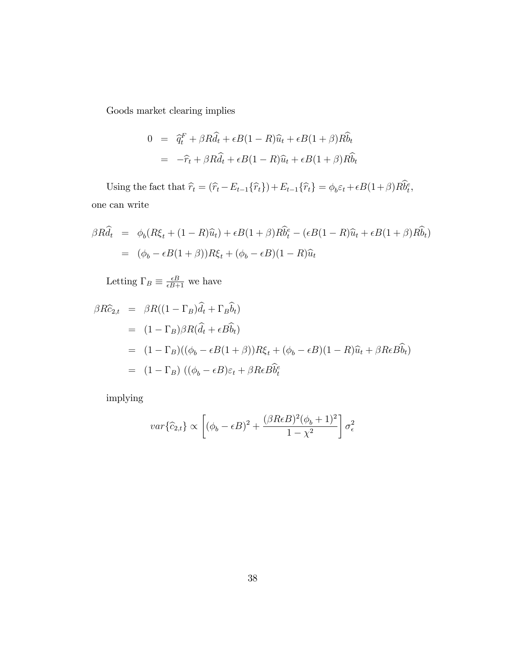Goods market clearing implies

$$
0 = \hat{q}_t^F + \beta R \hat{d}_t + \epsilon B (1 - R) \hat{u}_t + \epsilon B (1 + \beta) R \hat{b}_t
$$
  
= 
$$
-\hat{r}_t + \beta R \hat{d}_t + \epsilon B (1 - R) \hat{u}_t + \epsilon B (1 + \beta) R \hat{b}_t
$$

Using the fact that  $\hat{r}_t = (\hat{r}_t - E_{t-1}\{\hat{r}_t\}) + E_{t-1}\{\hat{r}_t\} = \phi_b \varepsilon_t + \epsilon B(1+\beta)R\hat{b}_t^e$ , one can write

$$
\beta R \hat{d}_t = \phi_b (R\xi_t + (1 - R)\hat{u}_t) + \epsilon B (1 + \beta) R \hat{b}_t^e - (\epsilon B (1 - R)\hat{u}_t + \epsilon B (1 + \beta) R \hat{b}_t)
$$
  
= 
$$
(\phi_b - \epsilon B (1 + \beta)) R \xi_t + (\phi_b - \epsilon B) (1 - R)\hat{u}_t
$$

Letting  $\Gamma_B \equiv \frac{\epsilon B}{\epsilon B + 1}$  we have

$$
\beta R\hat{c}_{2,t} = \beta R((1 - \Gamma_B)\hat{d}_t + \Gamma_B \hat{b}_t)
$$
  
=  $(1 - \Gamma_B)\beta R(\hat{d}_t + \epsilon B \hat{b}_t)$   
=  $(1 - \Gamma_B)((\phi_b - \epsilon B(1 + \beta))R\xi_t + (\phi_b - \epsilon B)(1 - R)\hat{u}_t + \beta R \epsilon B \hat{b}_t)$   
=  $(1 - \Gamma_B)((\phi_b - \epsilon B)\varepsilon_t + \beta R \epsilon B \hat{b}_t^e)$ 

implying

$$
var\{\hat{c}_{2,t}\} \propto \left[ (\phi_b - \epsilon B)^2 + \frac{(\beta R \epsilon B)^2 (\phi_b + 1)^2}{1 - \chi^2} \right] \sigma_{\epsilon}^2
$$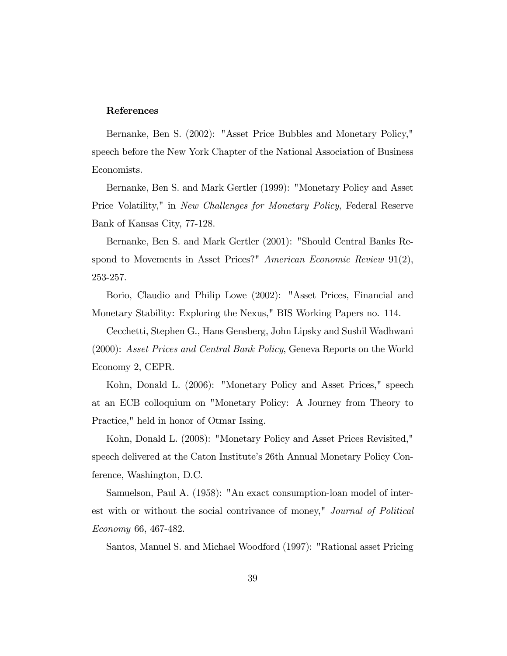#### References

Bernanke, Ben S. (2002): "Asset Price Bubbles and Monetary Policy," speech before the New York Chapter of the National Association of Business Economists.

Bernanke, Ben S. and Mark Gertler (1999): "Monetary Policy and Asset Price Volatility," in New Challenges for Monetary Policy, Federal Reserve Bank of Kansas City, 77-128.

Bernanke, Ben S. and Mark Gertler (2001): "Should Central Banks Respond to Movements in Asset Prices?" American Economic Review 91(2), 253-257.

Borio, Claudio and Philip Lowe (2002): "Asset Prices, Financial and Monetary Stability: Exploring the Nexus," BIS Working Papers no. 114.

Cecchetti, Stephen G., Hans Gensberg, John Lipsky and Sushil Wadhwani (2000): Asset Prices and Central Bank Policy, Geneva Reports on the World Economy 2, CEPR.

Kohn, Donald L. (2006): "Monetary Policy and Asset Prices," speech at an ECB colloquium on "Monetary Policy: A Journey from Theory to Practice," held in honor of Otmar Issing.

Kohn, Donald L. (2008): "Monetary Policy and Asset Prices Revisited," speech delivered at the Caton Institute's 26th Annual Monetary Policy Conference, Washington, D.C.

Samuelson, Paul A. (1958): "An exact consumption-loan model of interest with or without the social contrivance of money," Journal of Political Economy 66, 467-482.

Santos, Manuel S. and Michael Woodford (1997): "Rational asset Pricing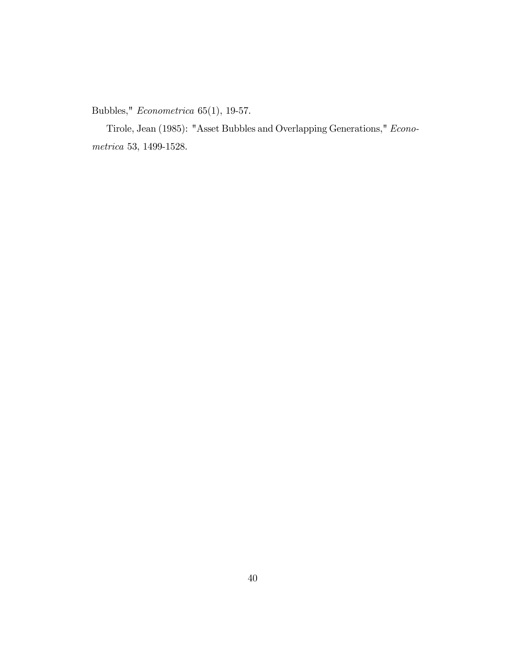Bubbles," Econometrica 65(1), 19-57.

Tirole, Jean (1985): "Asset Bubbles and Overlapping Generations," Econometrica 53, 1499-1528.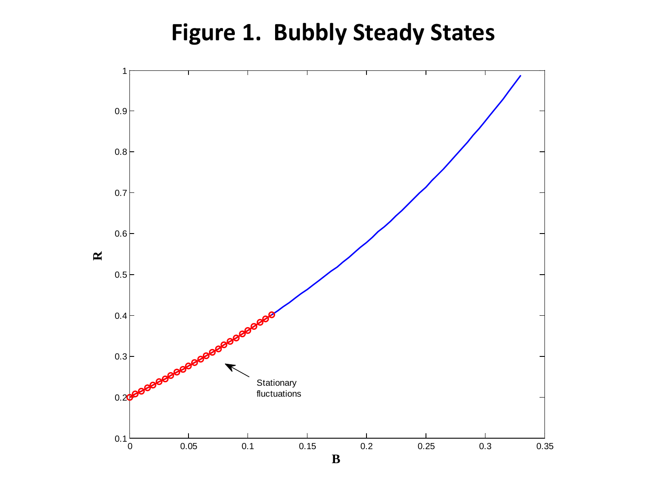# **Figure 1. Bubbly Steady States**

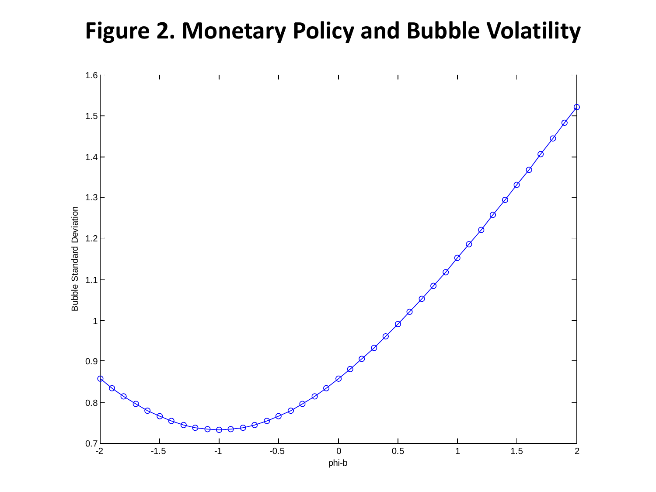# **Figure 2. Monetary Policy and Bubble Volatility**

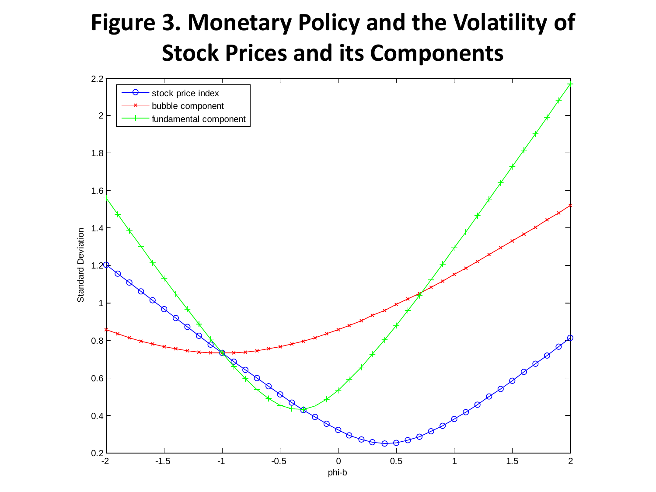# **Figure 3. Monetary Policy and the Volatility of Stock Prices and its Components**

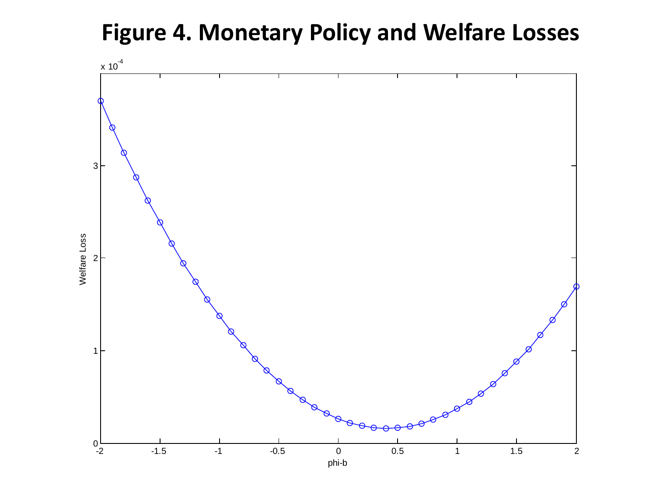**Figure 4. Monetary Policy and Welfare Losses**

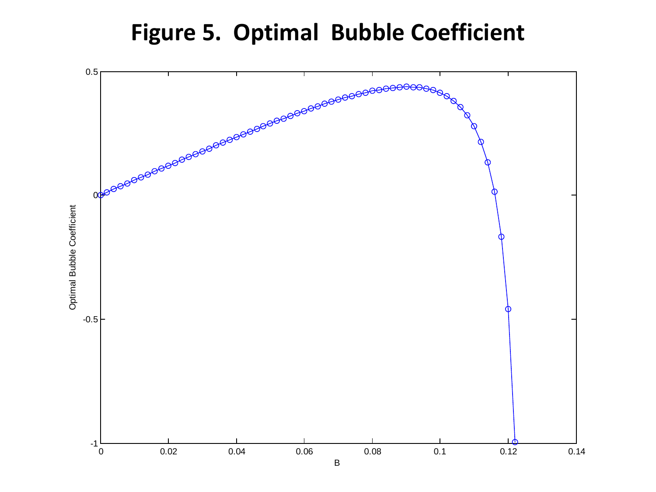# **Figure 5. Optimal Bubble Coefficient**

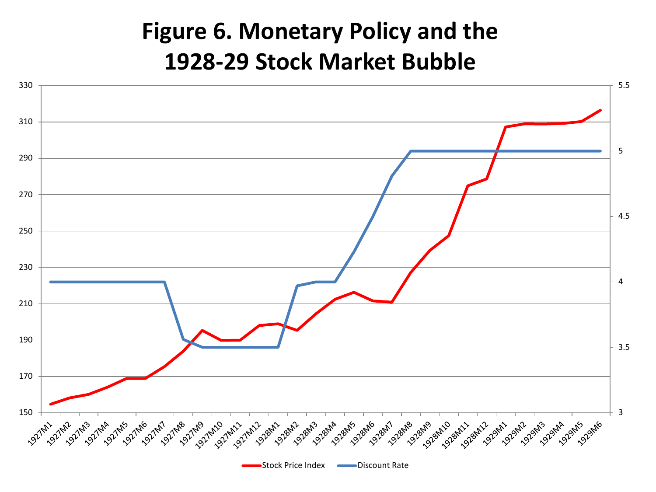# **Figure 6. Monetary Policy and the 1928-29 Stock Market Bubble**

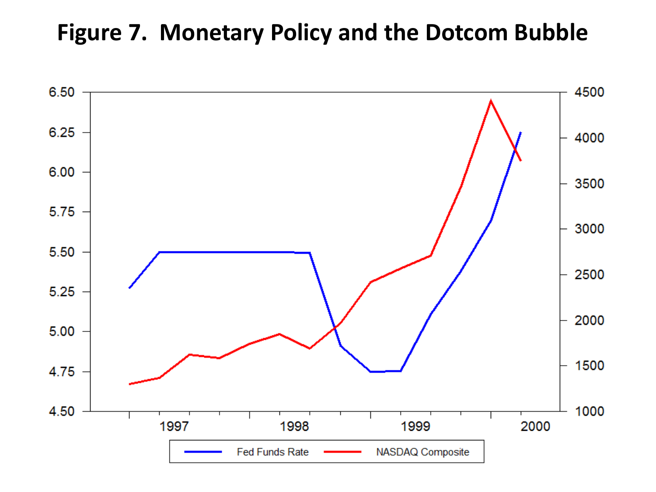# **Figure 7. Monetary Policy and the Dotcom Bubble**